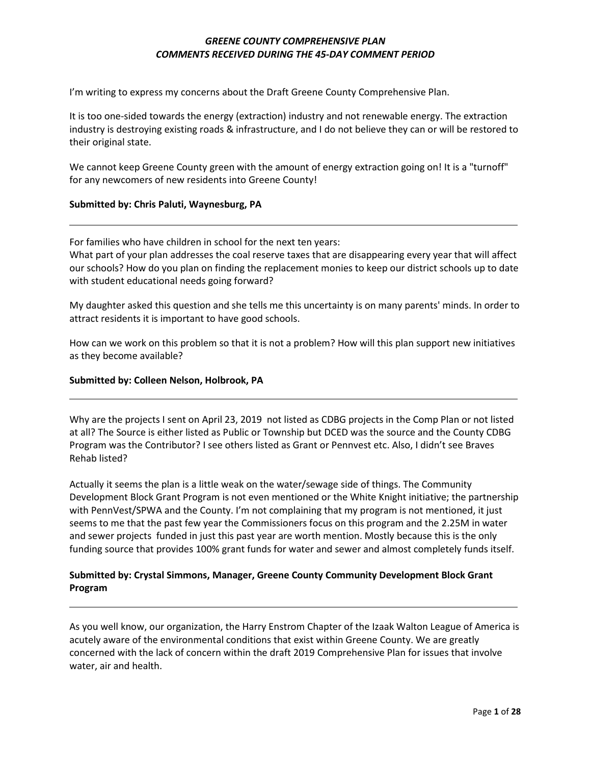I'm writing to express my concerns about the Draft Greene County Comprehensive Plan.

It is too one-sided towards the energy (extraction) industry and not renewable energy. The extraction industry is destroying existing roads & infrastructure, and I do not believe they can or will be restored to their original state.

We cannot keep Greene County green with the amount of energy extraction going on! It is a "turnoff" for any newcomers of new residents into Greene County!

#### **Submitted by: Chris Paluti, Waynesburg, PA**

For families who have children in school for the next ten years:

What part of your plan addresses the coal reserve taxes that are disappearing every year that will affect our schools? How do you plan on finding the replacement monies to keep our district schools up to date with student educational needs going forward?

My daughter asked this question and she tells me this uncertainty is on many parents' minds. In order to attract residents it is important to have good schools.

How can we work on this problem so that it is not a problem? How will this plan support new initiatives as they become available?

#### **Submitted by: Colleen Nelson, Holbrook, PA**

Why are the projects I sent on April 23, 2019 not listed as CDBG projects in the Comp Plan or not listed at all? The Source is either listed as Public or Township but DCED was the source and the County CDBG Program was the Contributor? I see others listed as Grant or Pennvest etc. Also, I didn't see Braves Rehab listed?

Actually it seems the plan is a little weak on the water/sewage side of things. The Community Development Block Grant Program is not even mentioned or the White Knight initiative; the partnership with PennVest/SPWA and the County. I'm not complaining that my program is not mentioned, it just seems to me that the past few year the Commissioners focus on this program and the 2.25M in water and sewer projects funded in just this past year are worth mention. Mostly because this is the only funding source that provides 100% grant funds for water and sewer and almost completely funds itself.

# **Submitted by: Crystal Simmons, Manager, Greene County Community Development Block Grant Program**

As you well know, our organization, the Harry Enstrom Chapter of the Izaak Walton League of America is acutely aware of the environmental conditions that exist within Greene County. We are greatly concerned with the lack of concern within the draft 2019 Comprehensive Plan for issues that involve water, air and health.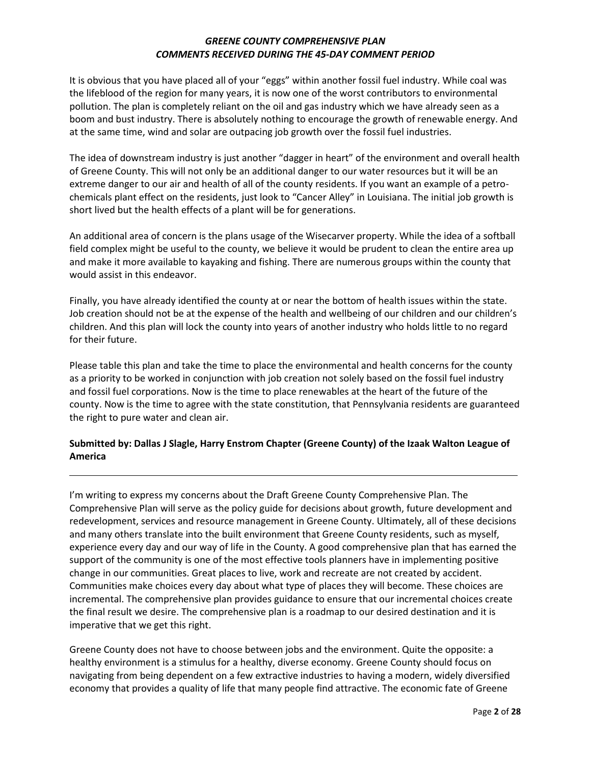It is obvious that you have placed all of your "eggs" within another fossil fuel industry. While coal was the lifeblood of the region for many years, it is now one of the worst contributors to environmental pollution. The plan is completely reliant on the oil and gas industry which we have already seen as a boom and bust industry. There is absolutely nothing to encourage the growth of renewable energy. And at the same time, wind and solar are outpacing job growth over the fossil fuel industries.

The idea of downstream industry is just another "dagger in heart" of the environment and overall health of Greene County. This will not only be an additional danger to our water resources but it will be an extreme danger to our air and health of all of the county residents. If you want an example of a petrochemicals plant effect on the residents, just look to "Cancer Alley" in Louisiana. The initial job growth is short lived but the health effects of a plant will be for generations.

An additional area of concern is the plans usage of the Wisecarver property. While the idea of a softball field complex might be useful to the county, we believe it would be prudent to clean the entire area up and make it more available to kayaking and fishing. There are numerous groups within the county that would assist in this endeavor.

Finally, you have already identified the county at or near the bottom of health issues within the state. Job creation should not be at the expense of the health and wellbeing of our children and our children's children. And this plan will lock the county into years of another industry who holds little to no regard for their future.

Please table this plan and take the time to place the environmental and health concerns for the county as a priority to be worked in conjunction with job creation not solely based on the fossil fuel industry and fossil fuel corporations. Now is the time to place renewables at the heart of the future of the county. Now is the time to agree with the state constitution, that Pennsylvania residents are guaranteed the right to pure water and clean air.

# **Submitted by: Dallas J Slagle, Harry Enstrom Chapter (Greene County) of the Izaak Walton League of America**

I'm writing to express my concerns about the Draft Greene County Comprehensive Plan. The Comprehensive Plan will serve as the policy guide for decisions about growth, future development and redevelopment, services and resource management in Greene County. Ultimately, all of these decisions and many others translate into the built environment that Greene County residents, such as myself, experience every day and our way of life in the County. A good comprehensive plan that has earned the support of the community is one of the most effective tools planners have in implementing positive change in our communities. Great places to live, work and recreate are not created by accident. Communities make choices every day about what type of places they will become. These choices are incremental. The comprehensive plan provides guidance to ensure that our incremental choices create the final result we desire. The comprehensive plan is a roadmap to our desired destination and it is imperative that we get this right.

Greene County does not have to choose between jobs and the environment. Quite the opposite: a healthy environment is a stimulus for a healthy, diverse economy. Greene County should focus on navigating from being dependent on a few extractive industries to having a modern, widely diversified economy that provides a quality of life that many people find attractive. The economic fate of Greene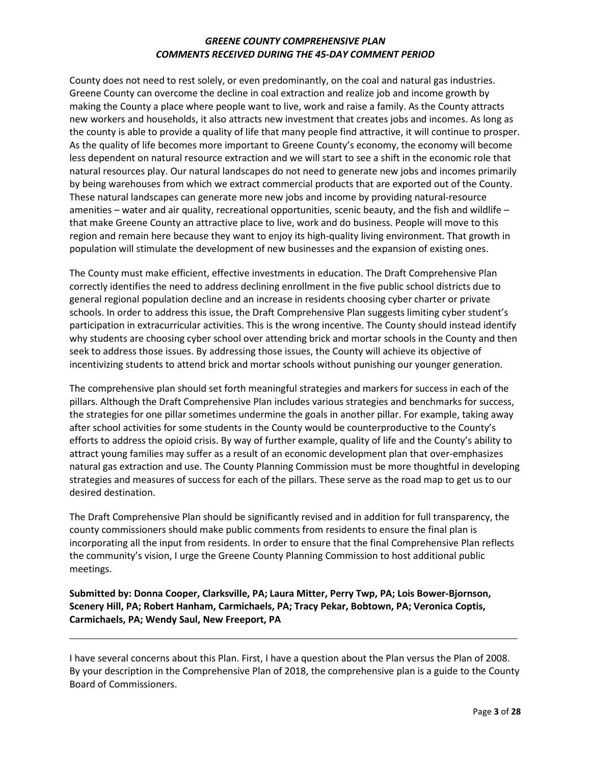County does not need to rest solely, or even predominantly, on the coal and natural gas industries. Greene County can overcome the decline in coal extraction and realize job and income growth by making the County a place where people want to live, work and raise a family. As the County attracts new workers and households, it also attracts new investment that creates jobs and incomes. As long as the county is able to provide a quality of life that many people find attractive, it will continue to prosper. As the quality of life becomes more important to Greene County's economy, the economy will become less dependent on natural resource extraction and we will start to see a shift in the economic role that natural resources play. Our natural landscapes do not need to generate new jobs and incomes primarily by being warehouses from which we extract commercial products that are exported out of the County. These natural landscapes can generate more new jobs and income by providing natural-resource amenities – water and air quality, recreational opportunities, scenic beauty, and the fish and wildlife – that make Greene County an attractive place to live, work and do business. People will move to this region and remain here because they want to enjoy its high-quality living environment. That growth in population will stimulate the development of new businesses and the expansion of existing ones.

The County must make efficient, effective investments in education. The Draft Comprehensive Plan correctly identifies the need to address declining enrollment in the five public school districts due to general regional population decline and an increase in residents choosing cyber charter or private schools. In order to address this issue, the Draft Comprehensive Plan suggests limiting cyber student's participation in extracurricular activities. This is the wrong incentive. The County should instead identify why students are choosing cyber school over attending brick and mortar schools in the County and then seek to address those issues. By addressing those issues, the County will achieve its objective of incentivizing students to attend brick and mortar schools without punishing our younger generation.

The comprehensive plan should set forth meaningful strategies and markers for success in each of the pillars. Although the Draft Comprehensive Plan includes various strategies and benchmarks for success, the strategies for one pillar sometimes undermine the goals in another pillar. For example, taking away after school activities for some students in the County would be counterproductive to the County's efforts to address the opioid crisis. By way of further example, quality of life and the County's ability to attract young families may suffer as a result of an economic development plan that over-emphasizes natural gas extraction and use. The County Planning Commission must be more thoughtful in developing strategies and measures of success for each of the pillars. These serve as the road map to get us to our desired destination.

The Draft Comprehensive Plan should be significantly revised and in addition for full transparency, the county commissioners should make public comments from residents to ensure the final plan is incorporating all the input from residents. In order to ensure that the final Comprehensive Plan reflects the community's vision, I urge the Greene County Planning Commission to host additional public meetings.

**Submitted by: Donna Cooper, Clarksville, PA; Laura Mitter, Perry Twp, PA; Lois Bower-Bjornson, Scenery Hill, PA; Robert Hanham, Carmichaels, PA; Tracy Pekar, Bobtown, PA; Veronica Coptis, Carmichaels, PA; Wendy Saul, New Freeport, PA**

I have several concerns about this Plan. First, I have a question about the Plan versus the Plan of 2008. By your description in the Comprehensive Plan of 2018, the comprehensive plan is a guide to the County Board of Commissioners.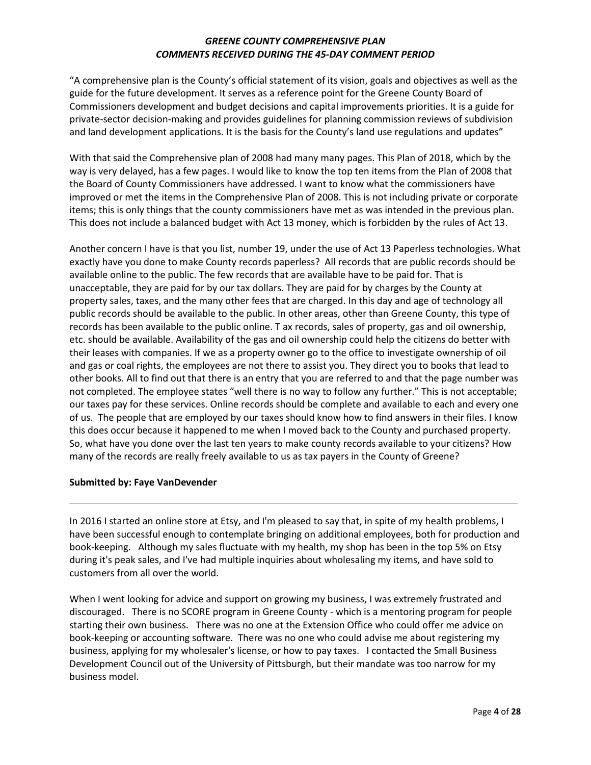"A comprehensive plan is the County's official statement of its vision, goals and objectives as well as the guide for the future development. It serves as a reference point for the Greene County Board of Commissioners development and budget decisions and capital improvements priorities. It is a guide for private-sector decision-making and provides guidelines for planning commission reviews of subdivision and land development applications. It is the basis for the County's land use regulations and updates"

With that said the Comprehensive plan of 2008 had many many pages. This Plan of 2018, which by the way is very delayed, has a few pages. I would like to know the top ten items from the Plan of 2008 that the Board of County Commissioners have addressed. I want to know what the commissioners have improved or met the items in the Comprehensive Plan of 2008. This is not including private or corporate items; this is only things that the county commissioners have met as was intended in the previous plan. This does not include a balanced budget with Act 13 money, which is forbidden by the rules of Act 13.

Another concern I have is that you list, number 19, under the use of Act 13 Paperless technologies. What exactly have you done to make County records paperless? All records that are public records should be available online to the public. The few records that are available have to be paid for. That is unacceptable, they are paid for by our tax dollars. They are paid for by charges by the County at property sales, taxes, and the many other fees that are charged. In this day and age of technology all public records should be available to the public. In other areas, other than Greene County, this type of records has been available to the public online. T ax records, sales of property, gas and oil ownership, etc. should be available. Availability of the gas and oil ownership could help the citizens do better with their leases with companies. If we as a property owner go to the office to investigate ownership of oil and gas or coal rights, the employees are not there to assist you. They direct you to books that lead to other books. All to find out that there is an entry that you are referred to and that the page number was not completed. The employee states "well there is no way to follow any further." This is not acceptable; our taxes pay for these services. Online records should be complete and available to each and every one of us. The people that are employed by our taxes should know how to find answers in their files. I know this does occur because it happened to me when I moved back to the County and purchased property. So, what have you done over the last ten years to make county records available to your citizens? How many of the records are really freely available to us as tax payers in the County of Greene?

#### **Submitted by: Faye VanDevender**

In 2016 I started an online store at Etsy, and I'm pleased to say that, in spite of my health problems, I have been successful enough to contemplate bringing on additional employees, both for production and book-keeping. Although my sales fluctuate with my health, my shop has been in the top 5% on Etsy during it's peak sales, and I've had multiple inquiries about wholesaling my items, and have sold to customers from all over the world.

When I went looking for advice and support on growing my business, I was extremely frustrated and discouraged. There is no SCORE program in Greene County - which is a mentoring program for people starting their own business. There was no one at the Extension Office who could offer me advice on book-keeping or accounting software. There was no one who could advise me about registering my business, applying for my wholesaler's license, or how to pay taxes. I contacted the Small Business Development Council out of the University of Pittsburgh, but their mandate was too narrow for my business model.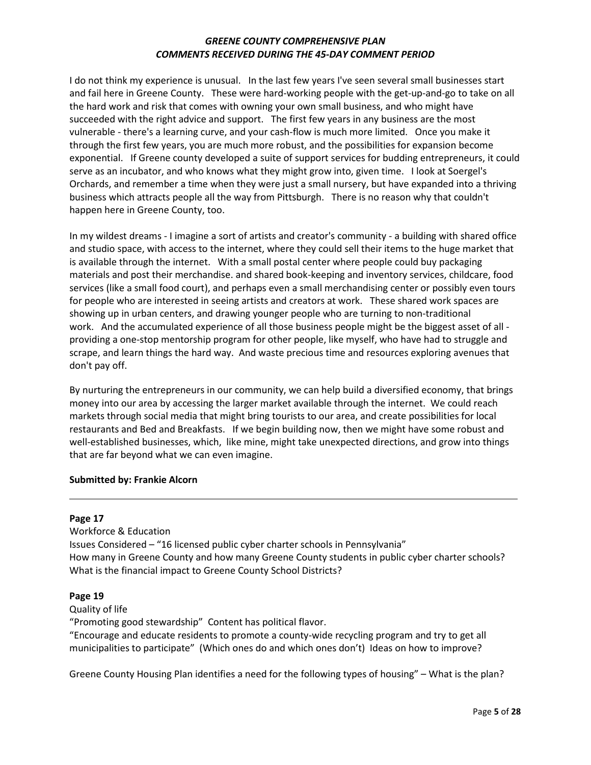I do not think my experience is unusual. In the last few years I've seen several small businesses start and fail here in Greene County. These were hard-working people with the get-up-and-go to take on all the hard work and risk that comes with owning your own small business, and who might have succeeded with the right advice and support. The first few years in any business are the most vulnerable - there's a learning curve, and your cash-flow is much more limited. Once you make it through the first few years, you are much more robust, and the possibilities for expansion become exponential. If Greene county developed a suite of support services for budding entrepreneurs, it could serve as an incubator, and who knows what they might grow into, given time. I look at Soergel's Orchards, and remember a time when they were just a small nursery, but have expanded into a thriving business which attracts people all the way from Pittsburgh. There is no reason why that couldn't happen here in Greene County, too.

In my wildest dreams - I imagine a sort of artists and creator's community - a building with shared office and studio space, with access to the internet, where they could sell their items to the huge market that is available through the internet. With a small postal center where people could buy packaging materials and post their merchandise. and shared book-keeping and inventory services, childcare, food services (like a small food court), and perhaps even a small merchandising center or possibly even tours for people who are interested in seeing artists and creators at work. These shared work spaces are showing up in urban centers, and drawing younger people who are turning to non-traditional work. And the accumulated experience of all those business people might be the biggest asset of all providing a one-stop mentorship program for other people, like myself, who have had to struggle and scrape, and learn things the hard way. And waste precious time and resources exploring avenues that don't pay off.

By nurturing the entrepreneurs in our community, we can help build a diversified economy, that brings money into our area by accessing the larger market available through the internet. We could reach markets through social media that might bring tourists to our area, and create possibilities for local restaurants and Bed and Breakfasts. If we begin building now, then we might have some robust and well-established businesses, which, like mine, might take unexpected directions, and grow into things that are far beyond what we can even imagine.

### **Submitted by: Frankie Alcorn**

#### **Page 17**

Workforce & Education Issues Considered – "16 licensed public cyber charter schools in Pennsylvania" How many in Greene County and how many Greene County students in public cyber charter schools? What is the financial impact to Greene County School Districts?

### **Page 19**

Quality of life

"Promoting good stewardship" Content has political flavor.

"Encourage and educate residents to promote a county-wide recycling program and try to get all municipalities to participate" (Which ones do and which ones don't) Ideas on how to improve?

Greene County Housing Plan identifies a need for the following types of housing" – What is the plan?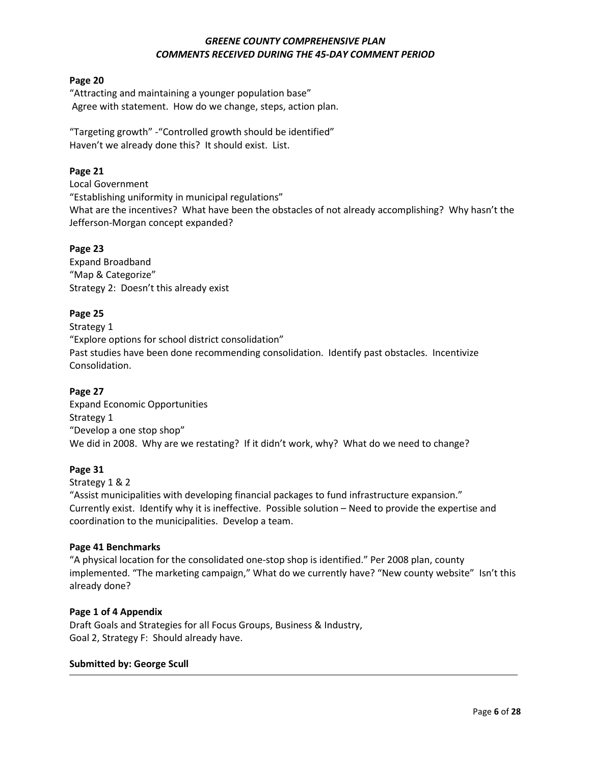#### **Page 20**

"Attracting and maintaining a younger population base" Agree with statement. How do we change, steps, action plan.

"Targeting growth" -"Controlled growth should be identified" Haven't we already done this? It should exist. List.

## **Page 21**

Local Government "Establishing uniformity in municipal regulations" What are the incentives? What have been the obstacles of not already accomplishing? Why hasn't the Jefferson-Morgan concept expanded?

### **Page 23**

Expand Broadband "Map & Categorize" Strategy 2: Doesn't this already exist

# **Page 25**

Strategy 1 "Explore options for school district consolidation" Past studies have been done recommending consolidation. Identify past obstacles. Incentivize Consolidation.

# **Page 27**

Expand Economic Opportunities Strategy 1 "Develop a one stop shop" We did in 2008. Why are we restating? If it didn't work, why? What do we need to change?

### **Page 31**

Strategy 1 & 2

"Assist municipalities with developing financial packages to fund infrastructure expansion." Currently exist. Identify why it is ineffective. Possible solution – Need to provide the expertise and coordination to the municipalities. Develop a team.

### **Page 41 Benchmarks**

"A physical location for the consolidated one-stop shop is identified." Per 2008 plan, county implemented. "The marketing campaign," What do we currently have? "New county website" Isn't this already done?

### **Page 1 of 4 Appendix**

Draft Goals and Strategies for all Focus Groups, Business & Industry, Goal 2, Strategy F: Should already have.

### **Submitted by: George Scull**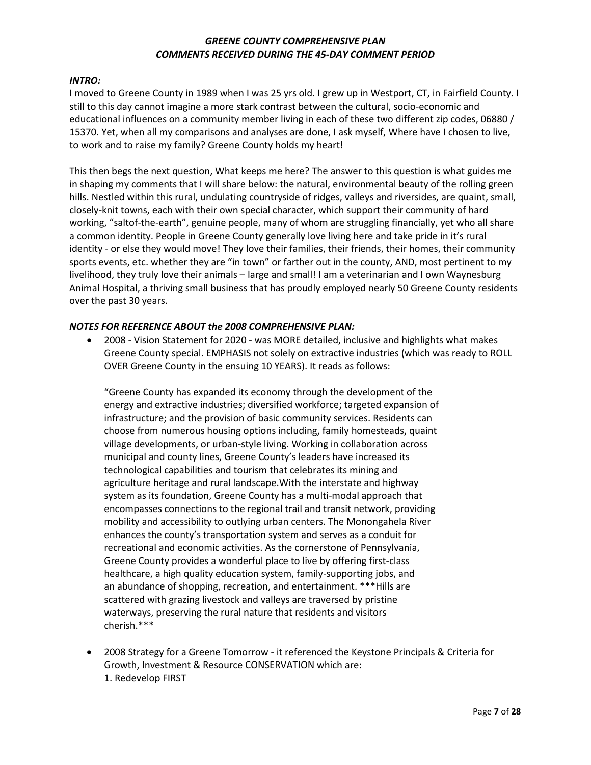#### *INTRO:*

I moved to Greene County in 1989 when I was 25 yrs old. I grew up in Westport, CT, in Fairfield County. I still to this day cannot imagine a more stark contrast between the cultural, socio-economic and educational influences on a community member living in each of these two different zip codes, 06880 / 15370. Yet, when all my comparisons and analyses are done, I ask myself, Where have I chosen to live, to work and to raise my family? Greene County holds my heart!

This then begs the next question, What keeps me here? The answer to this question is what guides me in shaping my comments that I will share below: the natural, environmental beauty of the rolling green hills. Nestled within this rural, undulating countryside of ridges, valleys and riversides, are quaint, small, closely-knit towns, each with their own special character, which support their community of hard working, "saltof-the-earth", genuine people, many of whom are struggling financially, yet who all share a common identity. People in Greene County generally love living here and take pride in it's rural identity - or else they would move! They love their families, their friends, their homes, their community sports events, etc. whether they are "in town" or farther out in the county, AND, most pertinent to my livelihood, they truly love their animals – large and small! I am a veterinarian and I own Waynesburg Animal Hospital, a thriving small business that has proudly employed nearly 50 Greene County residents over the past 30 years.

#### *NOTES FOR REFERENCE ABOUT the 2008 COMPREHENSIVE PLAN:*

• 2008 - Vision Statement for 2020 - was MORE detailed, inclusive and highlights what makes Greene County special. EMPHASIS not solely on extractive industries (which was ready to ROLL OVER Greene County in the ensuing 10 YEARS). It reads as follows:

"Greene County has expanded its economy through the development of the energy and extractive industries; diversified workforce; targeted expansion of infrastructure; and the provision of basic community services. Residents can choose from numerous housing options including, family homesteads, quaint village developments, or urban-style living. Working in collaboration across municipal and county lines, Greene County's leaders have increased its technological capabilities and tourism that celebrates its mining and agriculture heritage and rural landscape.With the interstate and highway system as its foundation, Greene County has a multi-modal approach that encompasses connections to the regional trail and transit network, providing mobility and accessibility to outlying urban centers. The Monongahela River enhances the county's transportation system and serves as a conduit for recreational and economic activities. As the cornerstone of Pennsylvania, Greene County provides a wonderful place to live by offering first-class healthcare, a high quality education system, family-supporting jobs, and an abundance of shopping, recreation, and entertainment. \*\*\*Hills are scattered with grazing livestock and valleys are traversed by pristine waterways, preserving the rural nature that residents and visitors cherish.\*\*\*

• 2008 Strategy for a Greene Tomorrow - it referenced the Keystone Principals & Criteria for Growth, Investment & Resource CONSERVATION which are: 1. Redevelop FIRST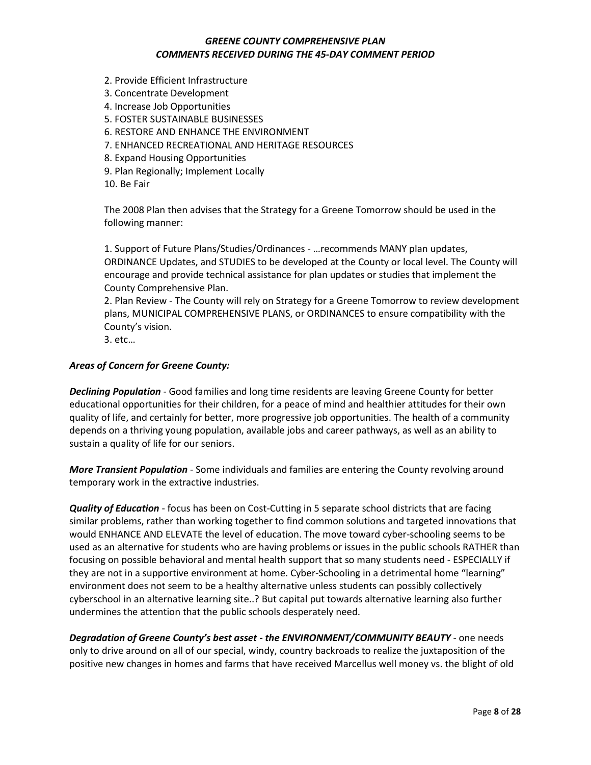- 2. Provide Efficient Infrastructure
- 3. Concentrate Development
- 4. Increase Job Opportunities
- 5. FOSTER SUSTAINABLE BUSINESSES
- 6. RESTORE AND ENHANCE THE ENVIRONMENT
- 7. ENHANCED RECREATIONAL AND HERITAGE RESOURCES
- 8. Expand Housing Opportunities
- 9. Plan Regionally; Implement Locally
- 10. Be Fair

The 2008 Plan then advises that the Strategy for a Greene Tomorrow should be used in the following manner:

1. Support of Future Plans/Studies/Ordinances - …recommends MANY plan updates, ORDINANCE Updates, and STUDIES to be developed at the County or local level. The County will encourage and provide technical assistance for plan updates or studies that implement the County Comprehensive Plan.

2. Plan Review - The County will rely on Strategy for a Greene Tomorrow to review development plans, MUNICIPAL COMPREHENSIVE PLANS, or ORDINANCES to ensure compatibility with the County's vision.

3. etc…

#### *Areas of Concern for Greene County:*

*Declining Population* - Good families and long time residents are leaving Greene County for better educational opportunities for their children, for a peace of mind and healthier attitudes for their own quality of life, and certainly for better, more progressive job opportunities. The health of a community depends on a thriving young population, available jobs and career pathways, as well as an ability to sustain a quality of life for our seniors.

*More Transient Population* - Some individuals and families are entering the County revolving around temporary work in the extractive industries.

*Quality of Education* - focus has been on Cost-Cutting in 5 separate school districts that are facing similar problems, rather than working together to find common solutions and targeted innovations that would ENHANCE AND ELEVATE the level of education. The move toward cyber-schooling seems to be used as an alternative for students who are having problems or issues in the public schools RATHER than focusing on possible behavioral and mental health support that so many students need - ESPECIALLY if they are not in a supportive environment at home. Cyber-Schooling in a detrimental home "learning" environment does not seem to be a healthy alternative unless students can possibly collectively cyberschool in an alternative learning site..? But capital put towards alternative learning also further undermines the attention that the public schools desperately need.

*Degradation of Greene County's best asset - the ENVIRONMENT/COMMUNITY BEAUTY* - one needs only to drive around on all of our special, windy, country backroads to realize the juxtaposition of the positive new changes in homes and farms that have received Marcellus well money vs. the blight of old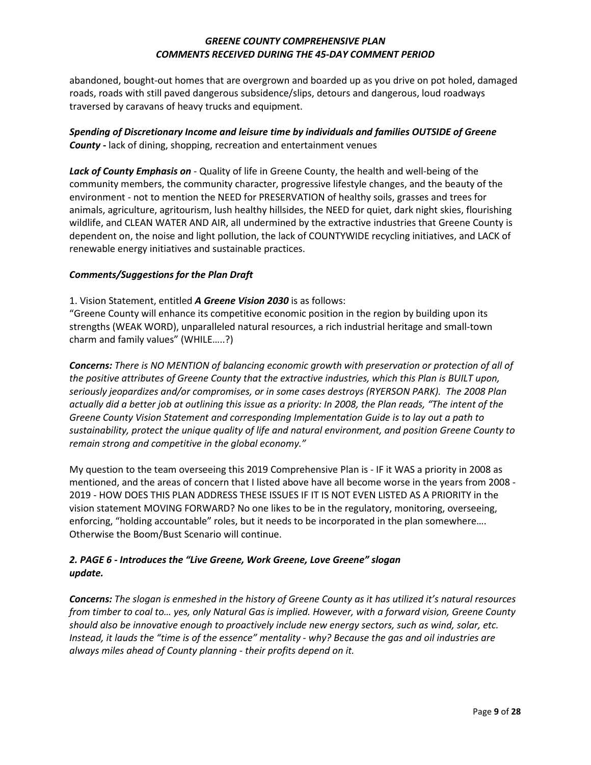abandoned, bought-out homes that are overgrown and boarded up as you drive on pot holed, damaged roads, roads with still paved dangerous subsidence/slips, detours and dangerous, loud roadways traversed by caravans of heavy trucks and equipment.

# *Spending of Discretionary Income and leisure time by individuals and families OUTSIDE of Greene County* **-** lack of dining, shopping, recreation and entertainment venues

*Lack of County Emphasis on* - Quality of life in Greene County, the health and well-being of the community members, the community character, progressive lifestyle changes, and the beauty of the environment - not to mention the NEED for PRESERVATION of healthy soils, grasses and trees for animals, agriculture, agritourism, lush healthy hillsides, the NEED for quiet, dark night skies, flourishing wildlife, and CLEAN WATER AND AIR, all undermined by the extractive industries that Greene County is dependent on, the noise and light pollution, the lack of COUNTYWIDE recycling initiatives, and LACK of renewable energy initiatives and sustainable practices.

# *Comments/Suggestions for the Plan Draft*

1. Vision Statement, entitled *A Greene Vision 2030* is as follows:

"Greene County will enhance its competitive economic position in the region by building upon its strengths (WEAK WORD), unparalleled natural resources, a rich industrial heritage and small-town charm and family values" (WHILE…..?)

*Concerns: There is NO MENTION of balancing economic growth with preservation or protection of all of the positive attributes of Greene County that the extractive industries, which this Plan is BUILT upon, seriously jeopardizes and/or compromises, or in some cases destroys (RYERSON PARK). The 2008 Plan actually did a better job at outlining this issue as a priority: In 2008, the Plan reads, "The intent of the Greene County Vision Statement and corresponding Implementation Guide is to lay out a path to sustainability, protect the unique quality of life and natural environment, and position Greene County to remain strong and competitive in the global economy."*

My question to the team overseeing this 2019 Comprehensive Plan is - IF it WAS a priority in 2008 as mentioned, and the areas of concern that I listed above have all become worse in the years from 2008 - 2019 - HOW DOES THIS PLAN ADDRESS THESE ISSUES IF IT IS NOT EVEN LISTED AS A PRIORITY in the vision statement MOVING FORWARD? No one likes to be in the regulatory, monitoring, overseeing, enforcing, "holding accountable" roles, but it needs to be incorporated in the plan somewhere…. Otherwise the Boom/Bust Scenario will continue.

# *2. PAGE 6 - Introduces the "Live Greene, Work Greene, Love Greene" slogan update.*

*Concerns: The slogan is enmeshed in the history of Greene County as it has utilized it's natural resources from timber to coal to… yes, only Natural Gas is implied. However, with a forward vision, Greene County should also be innovative enough to proactively include new energy sectors, such as wind, solar, etc. Instead, it lauds the "time is of the essence" mentality - why? Because the gas and oil industries are always miles ahead of County planning - their profits depend on it.*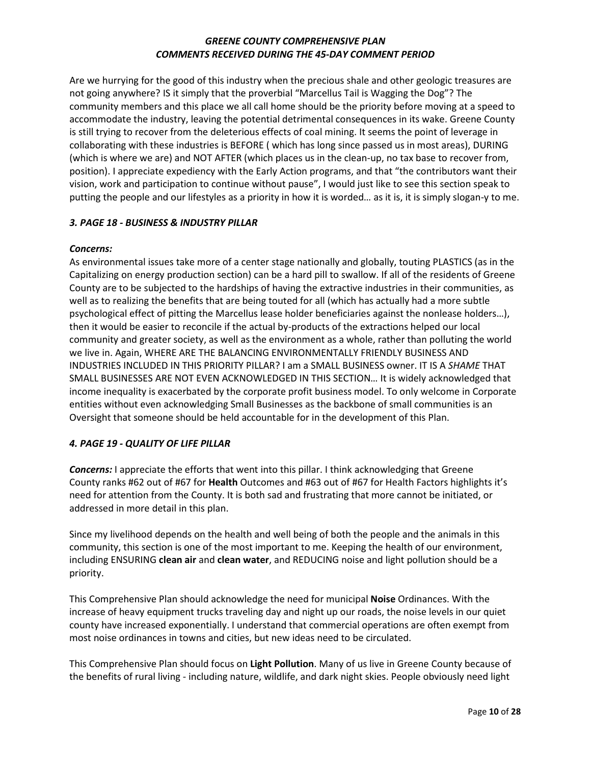Are we hurrying for the good of this industry when the precious shale and other geologic treasures are not going anywhere? IS it simply that the proverbial "Marcellus Tail is Wagging the Dog"? The community members and this place we all call home should be the priority before moving at a speed to accommodate the industry, leaving the potential detrimental consequences in its wake. Greene County is still trying to recover from the deleterious effects of coal mining. It seems the point of leverage in collaborating with these industries is BEFORE ( which has long since passed us in most areas), DURING (which is where we are) and NOT AFTER (which places us in the clean-up, no tax base to recover from, position). I appreciate expediency with the Early Action programs, and that "the contributors want their vision, work and participation to continue without pause", I would just like to see this section speak to putting the people and our lifestyles as a priority in how it is worded… as it is, it is simply slogan-y to me.

# *3. PAGE 18 - BUSINESS & INDUSTRY PILLAR*

### *Concerns:*

As environmental issues take more of a center stage nationally and globally, touting PLASTICS (as in the Capitalizing on energy production section) can be a hard pill to swallow. If all of the residents of Greene County are to be subjected to the hardships of having the extractive industries in their communities, as well as to realizing the benefits that are being touted for all (which has actually had a more subtle psychological effect of pitting the Marcellus lease holder beneficiaries against the nonlease holders…), then it would be easier to reconcile if the actual by-products of the extractions helped our local community and greater society, as well as the environment as a whole, rather than polluting the world we live in. Again, WHERE ARE THE BALANCING ENVIRONMENTALLY FRIENDLY BUSINESS AND INDUSTRIES INCLUDED IN THIS PRIORITY PILLAR? I am a SMALL BUSINESS owner. IT IS A *SHAME* THAT SMALL BUSINESSES ARE NOT EVEN ACKNOWLEDGED IN THIS SECTION… It is widely acknowledged that income inequality is exacerbated by the corporate profit business model. To only welcome in Corporate entities without even acknowledging Small Businesses as the backbone of small communities is an Oversight that someone should be held accountable for in the development of this Plan.

### *4. PAGE 19 - QUALITY OF LIFE PILLAR*

*Concerns:* I appreciate the efforts that went into this pillar. I think acknowledging that Greene County ranks #62 out of #67 for **Health** Outcomes and #63 out of #67 for Health Factors highlights it's need for attention from the County. It is both sad and frustrating that more cannot be initiated, or addressed in more detail in this plan.

Since my livelihood depends on the health and well being of both the people and the animals in this community, this section is one of the most important to me. Keeping the health of our environment, including ENSURING **clean air** and **clean water**, and REDUCING noise and light pollution should be a priority.

This Comprehensive Plan should acknowledge the need for municipal **Noise** Ordinances. With the increase of heavy equipment trucks traveling day and night up our roads, the noise levels in our quiet county have increased exponentially. I understand that commercial operations are often exempt from most noise ordinances in towns and cities, but new ideas need to be circulated.

This Comprehensive Plan should focus on **Light Pollution**. Many of us live in Greene County because of the benefits of rural living - including nature, wildlife, and dark night skies. People obviously need light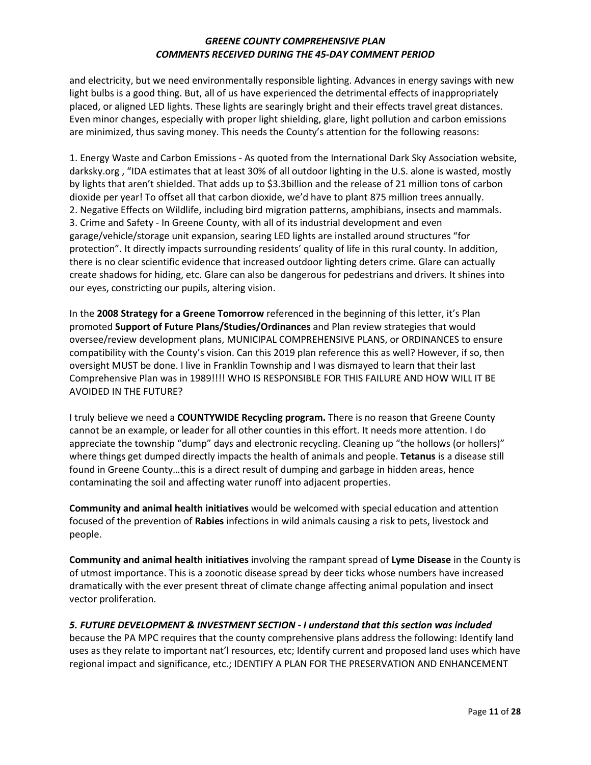and electricity, but we need environmentally responsible lighting. Advances in energy savings with new light bulbs is a good thing. But, all of us have experienced the detrimental effects of inappropriately placed, or aligned LED lights. These lights are searingly bright and their effects travel great distances. Even minor changes, especially with proper light shielding, glare, light pollution and carbon emissions are minimized, thus saving money. This needs the County's attention for the following reasons:

1. Energy Waste and Carbon Emissions - As quoted from the International Dark Sky Association website, darksky.org , "IDA estimates that at least 30% of all outdoor lighting in the U.S. alone is wasted, mostly by lights that aren't shielded. That adds up to \$3.3billion and the release of 21 million tons of carbon dioxide per year! To offset all that carbon dioxide, we'd have to plant 875 million trees annually. 2. Negative Effects on Wildlife, including bird migration patterns, amphibians, insects and mammals. 3. Crime and Safety - In Greene County, with all of its industrial development and even garage/vehicle/storage unit expansion, searing LED lights are installed around structures "for protection". It directly impacts surrounding residents' quality of life in this rural county. In addition, there is no clear scientific evidence that increased outdoor lighting deters crime. Glare can actually create shadows for hiding, etc. Glare can also be dangerous for pedestrians and drivers. It shines into our eyes, constricting our pupils, altering vision.

In the **2008 Strategy for a Greene Tomorrow** referenced in the beginning of this letter, it's Plan promoted **Support of Future Plans/Studies/Ordinances** and Plan review strategies that would oversee/review development plans, MUNICIPAL COMPREHENSIVE PLANS, or ORDINANCES to ensure compatibility with the County's vision. Can this 2019 plan reference this as well? However, if so, then oversight MUST be done. I live in Franklin Township and I was dismayed to learn that their last Comprehensive Plan was in 1989!!!! WHO IS RESPONSIBLE FOR THIS FAILURE AND HOW WILL IT BE AVOIDED IN THE FUTURE?

I truly believe we need a **COUNTYWIDE Recycling program.** There is no reason that Greene County cannot be an example, or leader for all other counties in this effort. It needs more attention. I do appreciate the township "dump" days and electronic recycling. Cleaning up "the hollows (or hollers)" where things get dumped directly impacts the health of animals and people. **Tetanus** is a disease still found in Greene County…this is a direct result of dumping and garbage in hidden areas, hence contaminating the soil and affecting water runoff into adjacent properties.

**Community and animal health initiatives** would be welcomed with special education and attention focused of the prevention of **Rabies** infections in wild animals causing a risk to pets, livestock and people.

**Community and animal health initiatives** involving the rampant spread of **Lyme Disease** in the County is of utmost importance. This is a zoonotic disease spread by deer ticks whose numbers have increased dramatically with the ever present threat of climate change affecting animal population and insect vector proliferation.

*5. FUTURE DEVELOPMENT & INVESTMENT SECTION - I understand that this section was included* because the PA MPC requires that the county comprehensive plans address the following: Identify land uses as they relate to important nat'l resources, etc; Identify current and proposed land uses which have regional impact and significance, etc.; IDENTIFY A PLAN FOR THE PRESERVATION AND ENHANCEMENT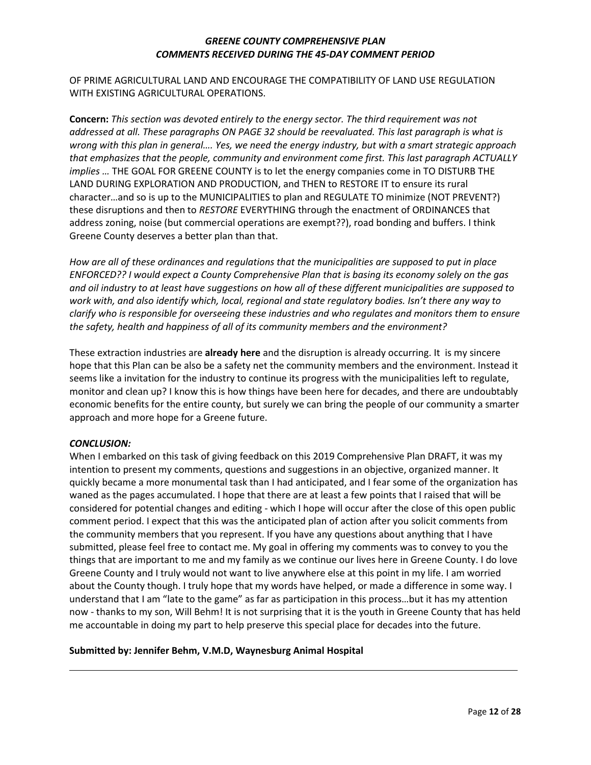OF PRIME AGRICULTURAL LAND AND ENCOURAGE THE COMPATIBILITY OF LAND USE REGULATION WITH EXISTING AGRICULTURAL OPERATIONS.

**Concern:** *This section was devoted entirely to the energy sector. The third requirement was not addressed at all. These paragraphs ON PAGE 32 should be reevaluated. This last paragraph is what is wrong with this plan in general…. Yes, we need the energy industry, but with a smart strategic approach that emphasizes that the people, community and environment come first. This last paragraph ACTUALLY implies …* THE GOAL FOR GREENE COUNTY is to let the energy companies come in TO DISTURB THE LAND DURING EXPLORATION AND PRODUCTION, and THEN to RESTORE IT to ensure its rural character…and so is up to the MUNICIPALITIES to plan and REGULATE TO minimize (NOT PREVENT?) these disruptions and then to *RESTORE* EVERYTHING through the enactment of ORDINANCES that address zoning, noise (but commercial operations are exempt??), road bonding and buffers. I think Greene County deserves a better plan than that.

*How are all of these ordinances and regulations that the municipalities are supposed to put in place ENFORCED?? I would expect a County Comprehensive Plan that is basing its economy solely on the gas and oil industry to at least have suggestions on how all of these different municipalities are supposed to work with, and also identify which, local, regional and state regulatory bodies. Isn't there any way to clarify who is responsible for overseeing these industries and who regulates and monitors them to ensure the safety, health and happiness of all of its community members and the environment?*

These extraction industries are **already here** and the disruption is already occurring. It is my sincere hope that this Plan can be also be a safety net the community members and the environment. Instead it seems like a invitation for the industry to continue its progress with the municipalities left to regulate, monitor and clean up? I know this is how things have been here for decades, and there are undoubtably economic benefits for the entire county, but surely we can bring the people of our community a smarter approach and more hope for a Greene future.

#### *CONCLUSION:*

When I embarked on this task of giving feedback on this 2019 Comprehensive Plan DRAFT, it was my intention to present my comments, questions and suggestions in an objective, organized manner. It quickly became a more monumental task than I had anticipated, and I fear some of the organization has waned as the pages accumulated. I hope that there are at least a few points that I raised that will be considered for potential changes and editing - which I hope will occur after the close of this open public comment period. I expect that this was the anticipated plan of action after you solicit comments from the community members that you represent. If you have any questions about anything that I have submitted, please feel free to contact me. My goal in offering my comments was to convey to you the things that are important to me and my family as we continue our lives here in Greene County. I do love Greene County and I truly would not want to live anywhere else at this point in my life. I am worried about the County though. I truly hope that my words have helped, or made a difference in some way. I understand that I am "late to the game" as far as participation in this process…but it has my attention now - thanks to my son, Will Behm! It is not surprising that it is the youth in Greene County that has held me accountable in doing my part to help preserve this special place for decades into the future.

#### **Submitted by: Jennifer Behm, V.M.D, Waynesburg Animal Hospital**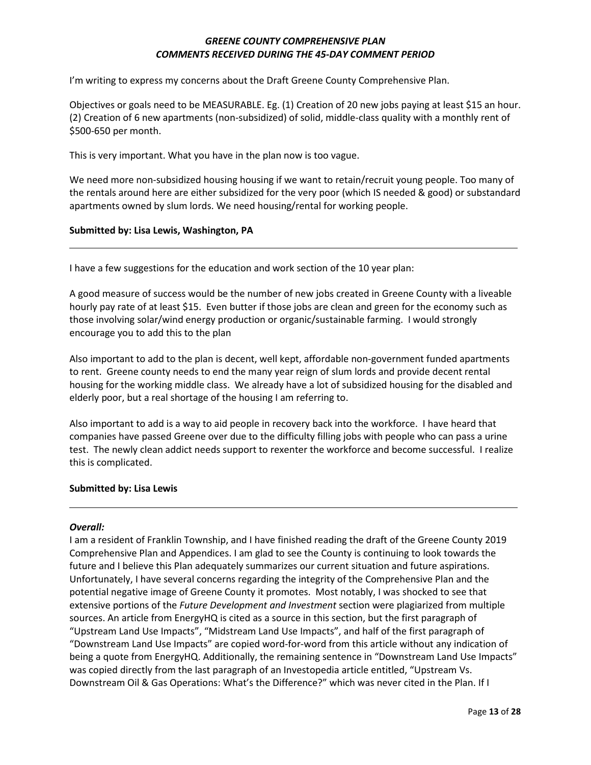I'm writing to express my concerns about the Draft Greene County Comprehensive Plan.

Objectives or goals need to be MEASURABLE. Eg. (1) Creation of 20 new jobs paying at least \$15 an hour. (2) Creation of 6 new apartments (non-subsidized) of solid, middle-class quality with a monthly rent of \$500-650 per month.

This is very important. What you have in the plan now is too vague.

We need more non-subsidized housing housing if we want to retain/recruit young people. Too many of the rentals around here are either subsidized for the very poor (which IS needed & good) or substandard apartments owned by slum lords. We need housing/rental for working people.

#### **Submitted by: Lisa Lewis, Washington, PA**

I have a few suggestions for the education and work section of the 10 year plan:

A good measure of success would be the number of new jobs created in Greene County with a liveable hourly pay rate of at least \$15. Even butter if those jobs are clean and green for the economy such as those involving solar/wind energy production or organic/sustainable farming. I would strongly encourage you to add this to the plan

Also important to add to the plan is decent, well kept, affordable non-government funded apartments to rent. Greene county needs to end the many year reign of slum lords and provide decent rental housing for the working middle class. We already have a lot of subsidized housing for the disabled and elderly poor, but a real shortage of the housing I am referring to.

Also important to add is a way to aid people in recovery back into the workforce. I have heard that companies have passed Greene over due to the difficulty filling jobs with people who can pass a urine test. The newly clean addict needs support to rexenter the workforce and become successful. I realize this is complicated.

#### **Submitted by: Lisa Lewis**

#### *Overall:*

I am a resident of Franklin Township, and I have finished reading the draft of the Greene County 2019 Comprehensive Plan and Appendices. I am glad to see the County is continuing to look towards the future and I believe this Plan adequately summarizes our current situation and future aspirations. Unfortunately, I have several concerns regarding the integrity of the Comprehensive Plan and the potential negative image of Greene County it promotes. Most notably, I was shocked to see that extensive portions of the *Future Development and Investment* section were plagiarized from multiple sources. An article from EnergyHQ is cited as a source in this section, but the first paragraph of "Upstream Land Use Impacts", "Midstream Land Use Impacts", and half of the first paragraph of "Downstream Land Use Impacts" are copied word-for-word from this article without any indication of being a quote from EnergyHQ. Additionally, the remaining sentence in "Downstream Land Use Impacts" was copied directly from the last paragraph of an Investopedia article entitled, "Upstream Vs. Downstream Oil & Gas Operations: What's the Difference?" which was never cited in the Plan. If I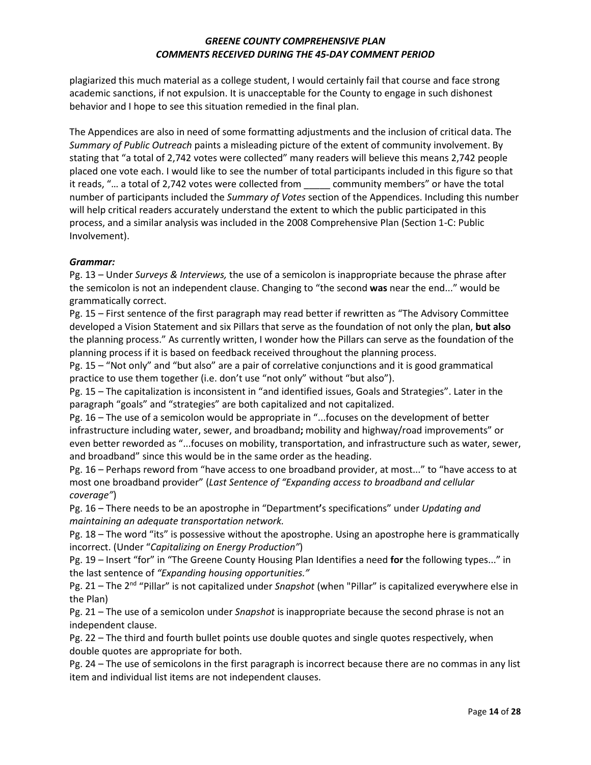plagiarized this much material as a college student, I would certainly fail that course and face strong academic sanctions, if not expulsion. It is unacceptable for the County to engage in such dishonest behavior and I hope to see this situation remedied in the final plan.

The Appendices are also in need of some formatting adjustments and the inclusion of critical data. The *Summary of Public Outreach* paints a misleading picture of the extent of community involvement. By stating that "a total of 2,742 votes were collected" many readers will believe this means 2,742 people placed one vote each. I would like to see the number of total participants included in this figure so that it reads, "… a total of 2,742 votes were collected from \_\_\_\_\_ community members" or have the total number of participants included the *Summary of Votes* section of the Appendices. Including this number will help critical readers accurately understand the extent to which the public participated in this process, and a similar analysis was included in the 2008 Comprehensive Plan (Section 1-C: Public Involvement).

# *Grammar:*

Pg. 13 – Under *Surveys & Interviews,* the use of a semicolon is inappropriate because the phrase after the semicolon is not an independent clause. Changing to "the second **was** near the end..." would be grammatically correct.

Pg. 15 – First sentence of the first paragraph may read better if rewritten as "The Advisory Committee developed a Vision Statement and six Pillars that serve as the foundation of not only the plan, **but also** the planning process." As currently written, I wonder how the Pillars can serve as the foundation of the planning process if it is based on feedback received throughout the planning process.

Pg. 15 – "Not only" and "but also" are a pair of correlative conjunctions and it is good grammatical practice to use them together (i.e. don't use "not only" without "but also").

Pg. 15 – The capitalization is inconsistent in "and identified issues, Goals and Strategies". Later in the paragraph "goals" and "strategies" are both capitalized and not capitalized.

Pg. 16 – The use of a semicolon would be appropriate in "...focuses on the development of better infrastructure including water, sewer, and broadband**;** mobility and highway/road improvements" or even better reworded as "...focuses on mobility, transportation, and infrastructure such as water, sewer, and broadband" since this would be in the same order as the heading.

Pg. 16 – Perhaps reword from "have access to one broadband provider, at most..." to "have access to at most one broadband provider" (*Last Sentence of "Expanding access to broadband and cellular coverage"*)

Pg. 16 – There needs to be an apostrophe in "Department**'**s specifications" under *Updating and maintaining an adequate transportation network.*

Pg. 18 – The word "its" is possessive without the apostrophe. Using an apostrophe here is grammatically incorrect. (Under "*Capitalizing on Energy Production"*)

Pg. 19 – Insert "for" in "The Greene County Housing Plan Identifies a need **for** the following types..." in the last sentence of *"Expanding housing opportunities."*

Pg. 21 – The 2<sup>nd</sup> "Pillar" is not capitalized under *Snapshot* (when "Pillar" is capitalized everywhere else in the Plan)

Pg. 21 – The use of a semicolon under *Snapshot* is inappropriate because the second phrase is not an independent clause.

Pg. 22 – The third and fourth bullet points use double quotes and single quotes respectively, when double quotes are appropriate for both.

Pg. 24 – The use of semicolons in the first paragraph is incorrect because there are no commas in any list item and individual list items are not independent clauses.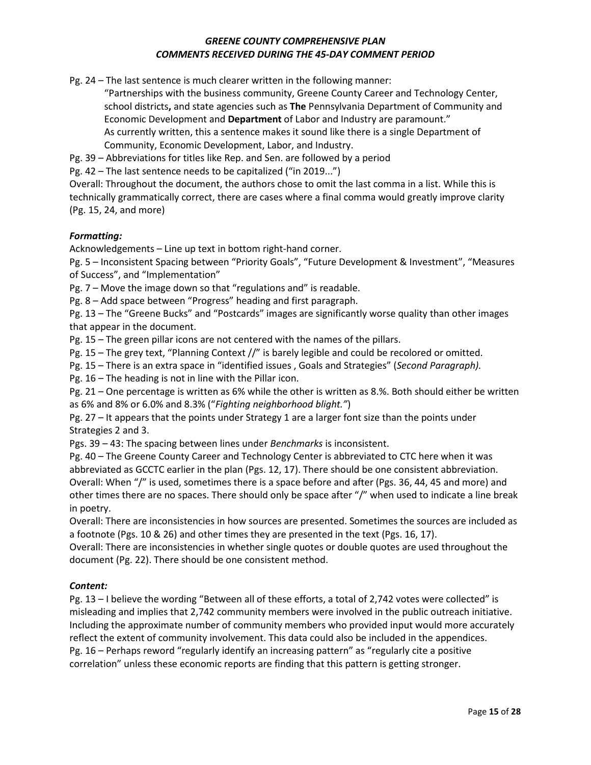Pg. 24 – The last sentence is much clearer written in the following manner:

"Partnerships with the business community, Greene County Career and Technology Center, school districts**,** and state agencies such as **The** Pennsylvania Department of Community and Economic Development and **Department** of Labor and Industry are paramount." As currently written, this a sentence makes it sound like there is a single Department of Community, Economic Development, Labor, and Industry.

Pg. 39 – Abbreviations for titles like Rep. and Sen. are followed by a period

Pg. 42 – The last sentence needs to be capitalized ("in 2019...")

Overall: Throughout the document, the authors chose to omit the last comma in a list. While this is technically grammatically correct, there are cases where a final comma would greatly improve clarity (Pg. 15, 24, and more)

# *Formatting:*

Acknowledgements – Line up text in bottom right-hand corner.

Pg. 5 – Inconsistent Spacing between "Priority Goals", "Future Development & Investment", "Measures of Success", and "Implementation"

Pg. 7 – Move the image down so that "regulations and" is readable.

Pg. 8 – Add space between "Progress" heading and first paragraph.

Pg. 13 – The "Greene Bucks" and "Postcards" images are significantly worse quality than other images that appear in the document.

Pg. 15 – The green pillar icons are not centered with the names of the pillars.

Pg. 15 – The grey text, "Planning Context //" is barely legible and could be recolored or omitted.

Pg. 15 – There is an extra space in "identified issues , Goals and Strategies" (*Second Paragraph).*

Pg. 16 – The heading is not in line with the Pillar icon.

Pg. 21 – One percentage is written as 6% while the other is written as 8.%. Both should either be written as 6% and 8% or 6.0% and 8.3% ("*Fighting neighborhood blight."*)

Pg. 27 – It appears that the points under Strategy 1 are a larger font size than the points under Strategies 2 and 3.

Pgs. 39 – 43: The spacing between lines under *Benchmarks* is inconsistent.

Pg. 40 – The Greene County Career and Technology Center is abbreviated to CTC here when it was abbreviated as GCCTC earlier in the plan (Pgs. 12, 17). There should be one consistent abbreviation. Overall: When "/" is used, sometimes there is a space before and after (Pgs. 36, 44, 45 and more) and other times there are no spaces. There should only be space after "/" when used to indicate a line break in poetry.

Overall: There are inconsistencies in how sources are presented. Sometimes the sources are included as a footnote (Pgs. 10 & 26) and other times they are presented in the text (Pgs. 16, 17).

Overall: There are inconsistencies in whether single quotes or double quotes are used throughout the document (Pg. 22). There should be one consistent method.

### *Content:*

Pg. 13 – I believe the wording "Between all of these efforts, a total of 2,742 votes were collected" is misleading and implies that 2,742 community members were involved in the public outreach initiative. Including the approximate number of community members who provided input would more accurately reflect the extent of community involvement. This data could also be included in the appendices. Pg. 16 – Perhaps reword "regularly identify an increasing pattern" as "regularly cite a positive correlation" unless these economic reports are finding that this pattern is getting stronger.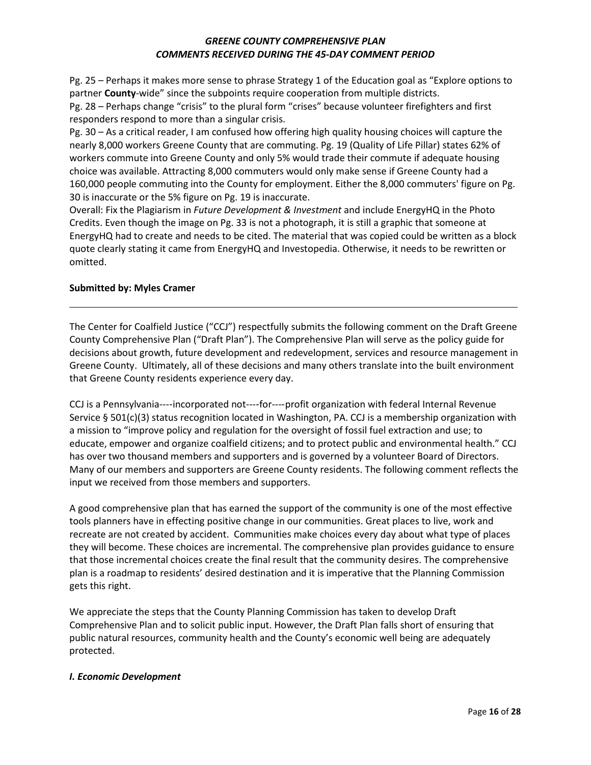Pg. 25 – Perhaps it makes more sense to phrase Strategy 1 of the Education goal as "Explore options to partner **County**-wide" since the subpoints require cooperation from multiple districts.

Pg. 28 – Perhaps change "crisis" to the plural form "crises" because volunteer firefighters and first responders respond to more than a singular crisis.

Pg. 30 – As a critical reader, I am confused how offering high quality housing choices will capture the nearly 8,000 workers Greene County that are commuting. Pg. 19 (Quality of Life Pillar) states 62% of workers commute into Greene County and only 5% would trade their commute if adequate housing choice was available. Attracting 8,000 commuters would only make sense if Greene County had a 160,000 people commuting into the County for employment. Either the 8,000 commuters' figure on Pg. 30 is inaccurate or the 5% figure on Pg. 19 is inaccurate.

Overall: Fix the Plagiarism in *Future Development & Investment* and include EnergyHQ in the Photo Credits. Even though the image on Pg. 33 is not a photograph, it is still a graphic that someone at EnergyHQ had to create and needs to be cited. The material that was copied could be written as a block quote clearly stating it came from EnergyHQ and Investopedia. Otherwise, it needs to be rewritten or omitted.

### **Submitted by: Myles Cramer**

The Center for Coalfield Justice ("CCJ") respectfully submits the following comment on the Draft Greene County Comprehensive Plan ("Draft Plan"). The Comprehensive Plan will serve as the policy guide for decisions about growth, future development and redevelopment, services and resource management in Greene County. Ultimately, all of these decisions and many others translate into the built environment that Greene County residents experience every day.

CCJ is a Pennsylvania----incorporated not----for----profit organization with federal Internal Revenue Service § 501(c)(3) status recognition located in Washington, PA. CCJ is a membership organization with a mission to "improve policy and regulation for the oversight of fossil fuel extraction and use; to educate, empower and organize coalfield citizens; and to protect public and environmental health." CCJ has over two thousand members and supporters and is governed by a volunteer Board of Directors. Many of our members and supporters are Greene County residents. The following comment reflects the input we received from those members and supporters.

A good comprehensive plan that has earned the support of the community is one of the most effective tools planners have in effecting positive change in our communities. Great places to live, work and recreate are not created by accident. Communities make choices every day about what type of places they will become. These choices are incremental. The comprehensive plan provides guidance to ensure that those incremental choices create the final result that the community desires. The comprehensive plan is a roadmap to residents' desired destination and it is imperative that the Planning Commission gets this right.

We appreciate the steps that the County Planning Commission has taken to develop Draft Comprehensive Plan and to solicit public input. However, the Draft Plan falls short of ensuring that public natural resources, community health and the County's economic well being are adequately protected.

### *I. Economic Development*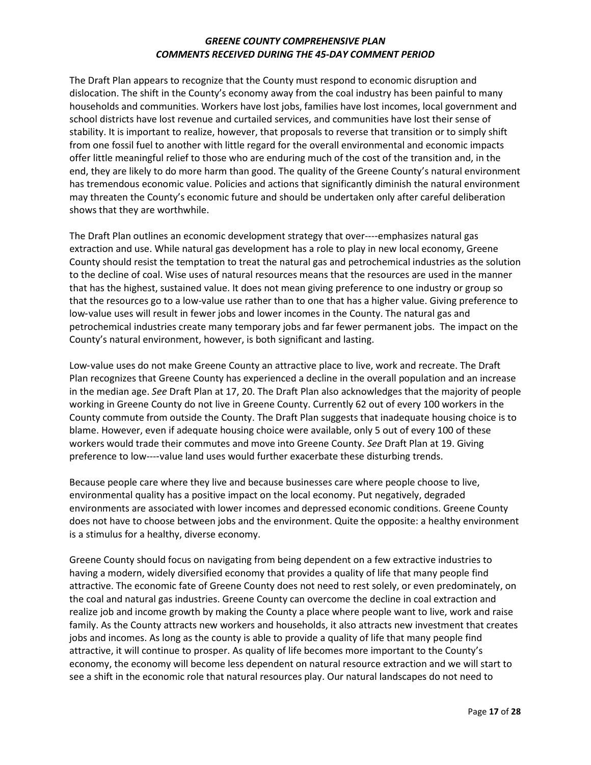The Draft Plan appears to recognize that the County must respond to economic disruption and dislocation. The shift in the County's economy away from the coal industry has been painful to many households and communities. Workers have lost jobs, families have lost incomes, local government and school districts have lost revenue and curtailed services, and communities have lost their sense of stability. It is important to realize, however, that proposals to reverse that transition or to simply shift from one fossil fuel to another with little regard for the overall environmental and economic impacts offer little meaningful relief to those who are enduring much of the cost of the transition and, in the end, they are likely to do more harm than good. The quality of the Greene County's natural environment has tremendous economic value. Policies and actions that significantly diminish the natural environment may threaten the County's economic future and should be undertaken only after careful deliberation shows that they are worthwhile.

The Draft Plan outlines an economic development strategy that over----emphasizes natural gas extraction and use. While natural gas development has a role to play in new local economy, Greene County should resist the temptation to treat the natural gas and petrochemical industries as the solution to the decline of coal. Wise uses of natural resources means that the resources are used in the manner that has the highest, sustained value. It does not mean giving preference to one industry or group so that the resources go to a low-value use rather than to one that has a higher value. Giving preference to low-value uses will result in fewer jobs and lower incomes in the County. The natural gas and petrochemical industries create many temporary jobs and far fewer permanent jobs. The impact on the County's natural environment, however, is both significant and lasting.

Low‑value uses do not make Greene County an attractive place to live, work and recreate. The Draft Plan recognizes that Greene County has experienced a decline in the overall population and an increase in the median age. *See* Draft Plan at 17, 20. The Draft Plan also acknowledges that the majority of people working in Greene County do not live in Greene County. Currently 62 out of every 100 workers in the County commute from outside the County. The Draft Plan suggests that inadequate housing choice is to blame. However, even if adequate housing choice were available, only 5 out of every 100 of these workers would trade their commutes and move into Greene County. *See* Draft Plan at 19. Giving preference to low----value land uses would further exacerbate these disturbing trends.

Because people care where they live and because businesses care where people choose to live, environmental quality has a positive impact on the local economy. Put negatively, degraded environments are associated with lower incomes and depressed economic conditions. Greene County does not have to choose between jobs and the environment. Quite the opposite: a healthy environment is a stimulus for a healthy, diverse economy.

Greene County should focus on navigating from being dependent on a few extractive industries to having a modern, widely diversified economy that provides a quality of life that many people find attractive. The economic fate of Greene County does not need to rest solely, or even predominately, on the coal and natural gas industries. Greene County can overcome the decline in coal extraction and realize job and income growth by making the County a place where people want to live, work and raise family. As the County attracts new workers and households, it also attracts new investment that creates jobs and incomes. As long as the county is able to provide a quality of life that many people find attractive, it will continue to prosper. As quality of life becomes more important to the County's economy, the economy will become less dependent on natural resource extraction and we will start to see a shift in the economic role that natural resources play. Our natural landscapes do not need to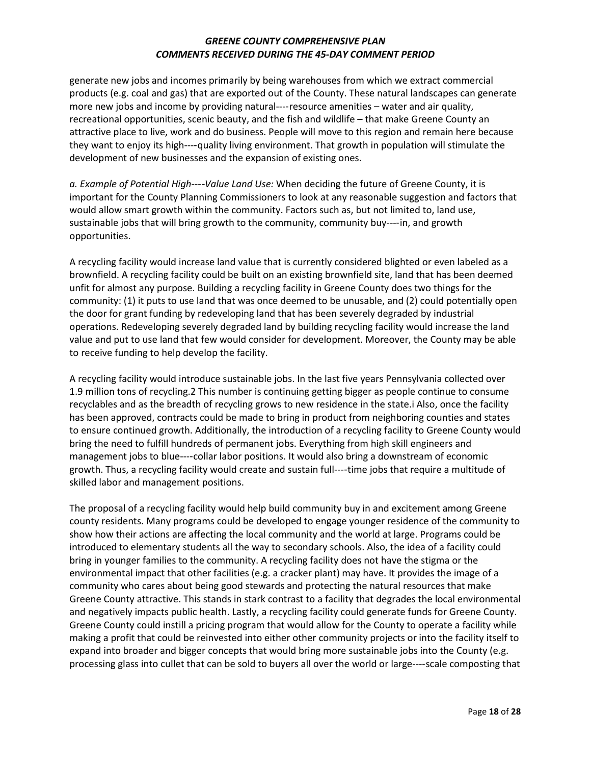generate new jobs and incomes primarily by being warehouses from which we extract commercial products (e.g. coal and gas) that are exported out of the County. These natural landscapes can generate more new jobs and income by providing natural----resource amenities – water and air quality, recreational opportunities, scenic beauty, and the fish and wildlife – that make Greene County an attractive place to live, work and do business. People will move to this region and remain here because they want to enjoy its high---‑quality living environment. That growth in population will stimulate the development of new businesses and the expansion of existing ones.

*a. Example of Potential High---*‑*Value Land Use:* When deciding the future of Greene County, it is important for the County Planning Commissioners to look at any reasonable suggestion and factors that would allow smart growth within the community. Factors such as, but not limited to, land use, sustainable jobs that will bring growth to the community, community buy----in, and growth opportunities.

A recycling facility would increase land value that is currently considered blighted or even labeled as a brownfield. A recycling facility could be built on an existing brownfield site, land that has been deemed unfit for almost any purpose. Building a recycling facility in Greene County does two things for the community: (1) it puts to use land that was once deemed to be unusable, and (2) could potentially open the door for grant funding by redeveloping land that has been severely degraded by industrial operations. Redeveloping severely degraded land by building recycling facility would increase the land value and put to use land that few would consider for development. Moreover, the County may be able to receive funding to help develop the facility.

A recycling facility would introduce sustainable jobs. In the last five years Pennsylvania collected over 1.9 million tons of recycling.2 This number is continuing getting bigger as people continue to consume recyclables and as the breadth of recycling grows to new residence in the state.i Also, once the facility has been approved, contracts could be made to bring in product from neighboring counties and states to ensure continued growth. Additionally, the introduction of a recycling facility to Greene County would bring the need to fulfill hundreds of permanent jobs. Everything from high skill engineers and management jobs to blue----collar labor positions. It would also bring a downstream of economic growth. Thus, a recycling facility would create and sustain full----time jobs that require a multitude of skilled labor and management positions.

The proposal of a recycling facility would help build community buy in and excitement among Greene county residents. Many programs could be developed to engage younger residence of the community to show how their actions are affecting the local community and the world at large. Programs could be introduced to elementary students all the way to secondary schools. Also, the idea of a facility could bring in younger families to the community. A recycling facility does not have the stigma or the environmental impact that other facilities (e.g. a cracker plant) may have. It provides the image of a community who cares about being good stewards and protecting the natural resources that make Greene County attractive. This stands in stark contrast to a facility that degrades the local environmental and negatively impacts public health. Lastly, a recycling facility could generate funds for Greene County. Greene County could instill a pricing program that would allow for the County to operate a facility while making a profit that could be reinvested into either other community projects or into the facility itself to expand into broader and bigger concepts that would bring more sustainable jobs into the County (e.g. processing glass into cullet that can be sold to buyers all over the world or large----scale composting that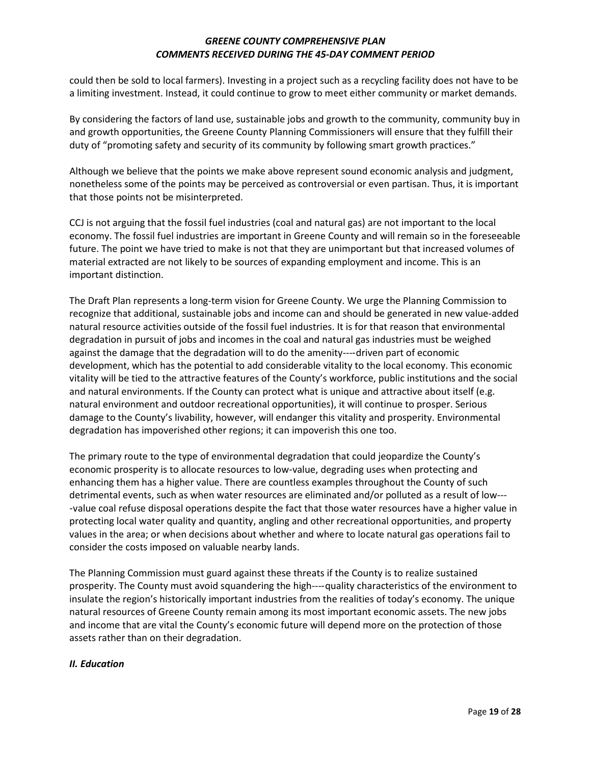could then be sold to local farmers). Investing in a project such as a recycling facility does not have to be a limiting investment. Instead, it could continue to grow to meet either community or market demands.

By considering the factors of land use, sustainable jobs and growth to the community, community buy in and growth opportunities, the Greene County Planning Commissioners will ensure that they fulfill their duty of "promoting safety and security of its community by following smart growth practices."

Although we believe that the points we make above represent sound economic analysis and judgment, nonetheless some of the points may be perceived as controversial or even partisan. Thus, it is important that those points not be misinterpreted.

CCJ is not arguing that the fossil fuel industries (coal and natural gas) are not important to the local economy. The fossil fuel industries are important in Greene County and will remain so in the foreseeable future. The point we have tried to make is not that they are unimportant but that increased volumes of material extracted are not likely to be sources of expanding employment and income. This is an important distinction.

The Draft Plan represents a long-term vision for Greene County. We urge the Planning Commission to recognize that additional, sustainable jobs and income can and should be generated in new value-added natural resource activities outside of the fossil fuel industries. It is for that reason that environmental degradation in pursuit of jobs and incomes in the coal and natural gas industries must be weighed against the damage that the degradation will to do the amenity----driven part of economic development, which has the potential to add considerable vitality to the local economy. This economic vitality will be tied to the attractive features of the County's workforce, public institutions and the social and natural environments. If the County can protect what is unique and attractive about itself (e.g. natural environment and outdoor recreational opportunities), it will continue to prosper. Serious damage to the County's livability, however, will endanger this vitality and prosperity. Environmental degradation has impoverished other regions; it can impoverish this one too.

The primary route to the type of environmental degradation that could jeopardize the County's economic prosperity is to allocate resources to low-value, degrading uses when protecting and enhancing them has a higher value. There are countless examples throughout the County of such detrimental events, such as when water resources are eliminated and/or polluted as a result of low--- ‑value coal refuse disposal operations despite the fact that those water resources have a higher value in protecting local water quality and quantity, angling and other recreational opportunities, and property values in the area; or when decisions about whether and where to locate natural gas operations fail to consider the costs imposed on valuable nearby lands.

The Planning Commission must guard against these threats if the County is to realize sustained prosperity. The County must avoid squandering the high----quality characteristics of the environment to insulate the region's historically important industries from the realities of today's economy. The unique natural resources of Greene County remain among its most important economic assets. The new jobs and income that are vital the County's economic future will depend more on the protection of those assets rather than on their degradation.

### *II. Education*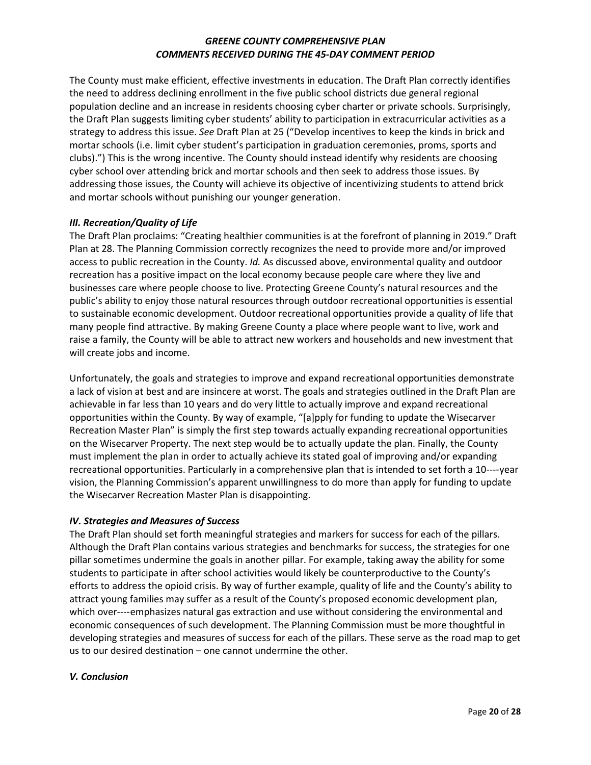The County must make efficient, effective investments in education. The Draft Plan correctly identifies the need to address declining enrollment in the five public school districts due general regional population decline and an increase in residents choosing cyber charter or private schools. Surprisingly, the Draft Plan suggests limiting cyber students' ability to participation in extracurricular activities as a strategy to address this issue. *See* Draft Plan at 25 ("Develop incentives to keep the kinds in brick and mortar schools (i.e. limit cyber student's participation in graduation ceremonies, proms, sports and clubs).") This is the wrong incentive. The County should instead identify why residents are choosing cyber school over attending brick and mortar schools and then seek to address those issues. By addressing those issues, the County will achieve its objective of incentivizing students to attend brick and mortar schools without punishing our younger generation.

### *III. Recreation/Quality of Life*

The Draft Plan proclaims: "Creating healthier communities is at the forefront of planning in 2019." Draft Plan at 28. The Planning Commission correctly recognizes the need to provide more and/or improved access to public recreation in the County. *Id.* As discussed above, environmental quality and outdoor recreation has a positive impact on the local economy because people care where they live and businesses care where people choose to live. Protecting Greene County's natural resources and the public's ability to enjoy those natural resources through outdoor recreational opportunities is essential to sustainable economic development. Outdoor recreational opportunities provide a quality of life that many people find attractive. By making Greene County a place where people want to live, work and raise a family, the County will be able to attract new workers and households and new investment that will create jobs and income.

Unfortunately, the goals and strategies to improve and expand recreational opportunities demonstrate a lack of vision at best and are insincere at worst. The goals and strategies outlined in the Draft Plan are achievable in far less than 10 years and do very little to actually improve and expand recreational opportunities within the County. By way of example, "[a]pply for funding to update the Wisecarver Recreation Master Plan" is simply the first step towards actually expanding recreational opportunities on the Wisecarver Property. The next step would be to actually update the plan. Finally, the County must implement the plan in order to actually achieve its stated goal of improving and/or expanding recreational opportunities. Particularly in a comprehensive plan that is intended to set forth a 10---‑year vision, the Planning Commission's apparent unwillingness to do more than apply for funding to update the Wisecarver Recreation Master Plan is disappointing.

### *IV. Strategies and Measures of Success*

The Draft Plan should set forth meaningful strategies and markers for success for each of the pillars. Although the Draft Plan contains various strategies and benchmarks for success, the strategies for one pillar sometimes undermine the goals in another pillar. For example, taking away the ability for some students to participate in after school activities would likely be counterproductive to the County's efforts to address the opioid crisis. By way of further example, quality of life and the County's ability to attract young families may suffer as a result of the County's proposed economic development plan, which over----emphasizes natural gas extraction and use without considering the environmental and economic consequences of such development. The Planning Commission must be more thoughtful in developing strategies and measures of success for each of the pillars. These serve as the road map to get us to our desired destination – one cannot undermine the other.

### *V. Conclusion*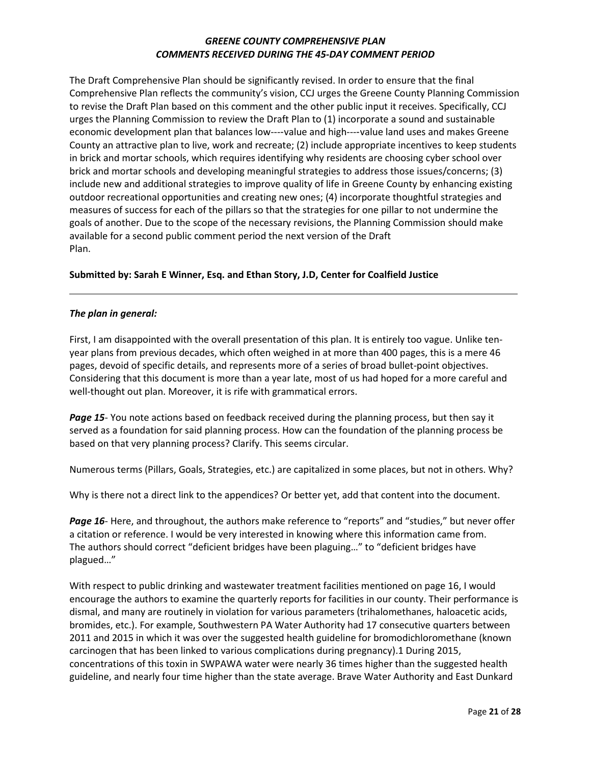The Draft Comprehensive Plan should be significantly revised. In order to ensure that the final Comprehensive Plan reflects the community's vision, CCJ urges the Greene County Planning Commission to revise the Draft Plan based on this comment and the other public input it receives. Specifically, CCJ urges the Planning Commission to review the Draft Plan to (1) incorporate a sound and sustainable economic development plan that balances low----value and high----value land uses and makes Greene County an attractive plan to live, work and recreate; (2) include appropriate incentives to keep students in brick and mortar schools, which requires identifying why residents are choosing cyber school over brick and mortar schools and developing meaningful strategies to address those issues/concerns; (3) include new and additional strategies to improve quality of life in Greene County by enhancing existing outdoor recreational opportunities and creating new ones; (4) incorporate thoughtful strategies and measures of success for each of the pillars so that the strategies for one pillar to not undermine the goals of another. Due to the scope of the necessary revisions, the Planning Commission should make available for a second public comment period the next version of the Draft Plan.

### **Submitted by: Sarah E Winner, Esq. and Ethan Story, J.D, Center for Coalfield Justice**

#### *The plan in general:*

First, I am disappointed with the overall presentation of this plan. It is entirely too vague. Unlike tenyear plans from previous decades, which often weighed in at more than 400 pages, this is a mere 46 pages, devoid of specific details, and represents more of a series of broad bullet-point objectives. Considering that this document is more than a year late, most of us had hoped for a more careful and well-thought out plan. Moreover, it is rife with grammatical errors.

*Page 15*- You note actions based on feedback received during the planning process, but then say it served as a foundation for said planning process. How can the foundation of the planning process be based on that very planning process? Clarify. This seems circular.

Numerous terms (Pillars, Goals, Strategies, etc.) are capitalized in some places, but not in others. Why?

Why is there not a direct link to the appendices? Or better yet, add that content into the document.

Page 16- Here, and throughout, the authors make reference to "reports" and "studies," but never offer a citation or reference. I would be very interested in knowing where this information came from. The authors should correct "deficient bridges have been plaguing…" to "deficient bridges have plagued…"

With respect to public drinking and wastewater treatment facilities mentioned on page 16, I would encourage the authors to examine the quarterly reports for facilities in our county. Their performance is dismal, and many are routinely in violation for various parameters (trihalomethanes, haloacetic acids, bromides, etc.). For example, Southwestern PA Water Authority had 17 consecutive quarters between 2011 and 2015 in which it was over the suggested health guideline for bromodichloromethane (known carcinogen that has been linked to various complications during pregnancy).1 During 2015, concentrations of this toxin in SWPAWA water were nearly 36 times higher than the suggested health guideline, and nearly four time higher than the state average. Brave Water Authority and East Dunkard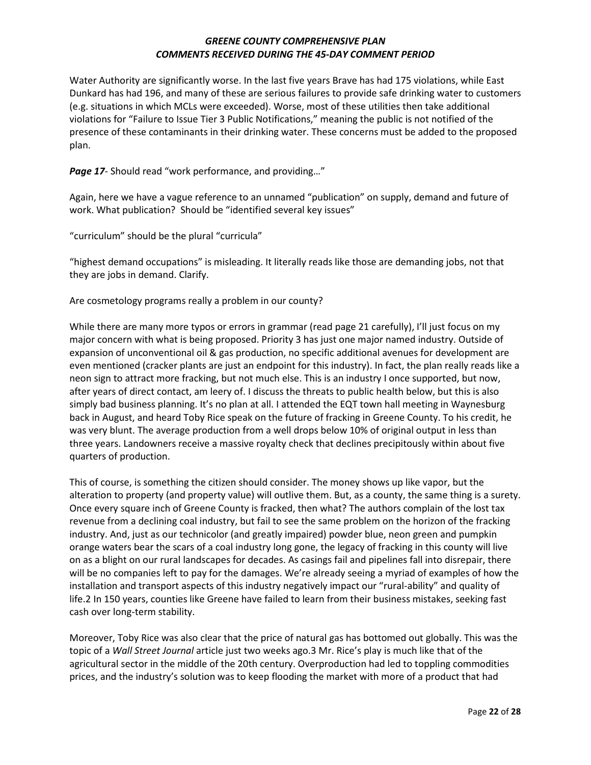Water Authority are significantly worse. In the last five years Brave has had 175 violations, while East Dunkard has had 196, and many of these are serious failures to provide safe drinking water to customers (e.g. situations in which MCLs were exceeded). Worse, most of these utilities then take additional violations for "Failure to Issue Tier 3 Public Notifications," meaning the public is not notified of the presence of these contaminants in their drinking water. These concerns must be added to the proposed plan.

*Page 17*- Should read "work performance, and providing…"

Again, here we have a vague reference to an unnamed "publication" on supply, demand and future of work. What publication? Should be "identified several key issues"

"curriculum" should be the plural "curricula"

"highest demand occupations" is misleading. It literally reads like those are demanding jobs, not that they are jobs in demand. Clarify.

Are cosmetology programs really a problem in our county?

While there are many more typos or errors in grammar (read page 21 carefully), I'll just focus on my major concern with what is being proposed. Priority 3 has just one major named industry. Outside of expansion of unconventional oil & gas production, no specific additional avenues for development are even mentioned (cracker plants are just an endpoint for this industry). In fact, the plan really reads like a neon sign to attract more fracking, but not much else. This is an industry I once supported, but now, after years of direct contact, am leery of. I discuss the threats to public health below, but this is also simply bad business planning. It's no plan at all. I attended the EQT town hall meeting in Waynesburg back in August, and heard Toby Rice speak on the future of fracking in Greene County. To his credit, he was very blunt. The average production from a well drops below 10% of original output in less than three years. Landowners receive a massive royalty check that declines precipitously within about five quarters of production.

This of course, is something the citizen should consider. The money shows up like vapor, but the alteration to property (and property value) will outlive them. But, as a county, the same thing is a surety. Once every square inch of Greene County is fracked, then what? The authors complain of the lost tax revenue from a declining coal industry, but fail to see the same problem on the horizon of the fracking industry. And, just as our technicolor (and greatly impaired) powder blue, neon green and pumpkin orange waters bear the scars of a coal industry long gone, the legacy of fracking in this county will live on as a blight on our rural landscapes for decades. As casings fail and pipelines fall into disrepair, there will be no companies left to pay for the damages. We're already seeing a myriad of examples of how the installation and transport aspects of this industry negatively impact our "rural-ability" and quality of life.2 In 150 years, counties like Greene have failed to learn from their business mistakes, seeking fast cash over long-term stability.

Moreover, Toby Rice was also clear that the price of natural gas has bottomed out globally. This was the topic of a *Wall Street Journal* article just two weeks ago.3 Mr. Rice's play is much like that of the agricultural sector in the middle of the 20th century. Overproduction had led to toppling commodities prices, and the industry's solution was to keep flooding the market with more of a product that had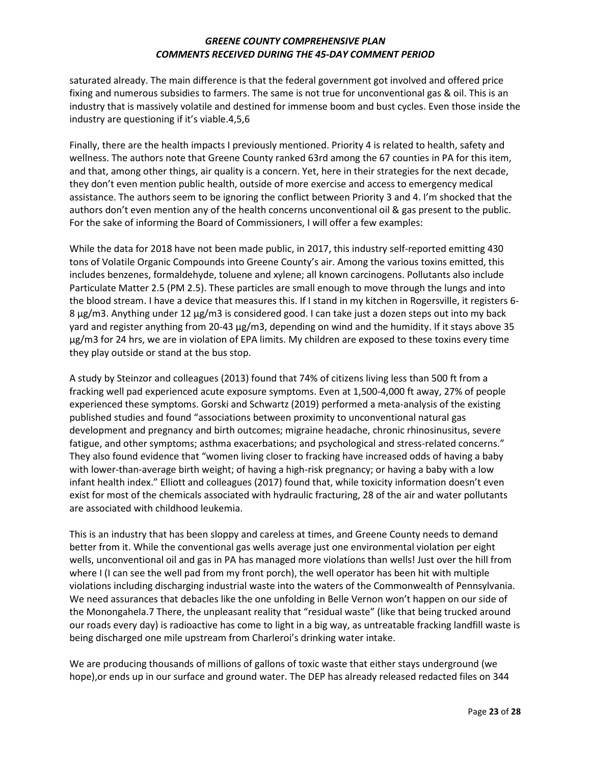saturated already. The main difference is that the federal government got involved and offered price fixing and numerous subsidies to farmers. The same is not true for unconventional gas & oil. This is an industry that is massively volatile and destined for immense boom and bust cycles. Even those inside the industry are questioning if it's viable.4,5,6

Finally, there are the health impacts I previously mentioned. Priority 4 is related to health, safety and wellness. The authors note that Greene County ranked 63rd among the 67 counties in PA for this item, and that, among other things, air quality is a concern. Yet, here in their strategies for the next decade, they don't even mention public health, outside of more exercise and access to emergency medical assistance. The authors seem to be ignoring the conflict between Priority 3 and 4. I'm shocked that the authors don't even mention any of the health concerns unconventional oil & gas present to the public. For the sake of informing the Board of Commissioners, I will offer a few examples:

While the data for 2018 have not been made public, in 2017, this industry self-reported emitting 430 tons of Volatile Organic Compounds into Greene County's air. Among the various toxins emitted, this includes benzenes, formaldehyde, toluene and xylene; all known carcinogens. Pollutants also include Particulate Matter 2.5 (PM 2.5). These particles are small enough to move through the lungs and into the blood stream. I have a device that measures this. If I stand in my kitchen in Rogersville, it registers 6- 8 μg/m3. Anything under 12 μg/m3 is considered good. I can take just a dozen steps out into my back yard and register anything from 20-43 μg/m3, depending on wind and the humidity. If it stays above 35 μg/m3 for 24 hrs, we are in violation of EPA limits. My children are exposed to these toxins every time they play outside or stand at the bus stop.

A study by Steinzor and colleagues (2013) found that 74% of citizens living less than 500 ft from a fracking well pad experienced acute exposure symptoms. Even at 1,500-4,000 ft away, 27% of people experienced these symptoms. Gorski and Schwartz (2019) performed a meta-analysis of the existing published studies and found "associations between proximity to unconventional natural gas development and pregnancy and birth outcomes; migraine headache, chronic rhinosinusitus, severe fatigue, and other symptoms; asthma exacerbations; and psychological and stress-related concerns." They also found evidence that "women living closer to fracking have increased odds of having a baby with lower-than-average birth weight; of having a high-risk pregnancy; or having a baby with a low infant health index." Elliott and colleagues (2017) found that, while toxicity information doesn't even exist for most of the chemicals associated with hydraulic fracturing, 28 of the air and water pollutants are associated with childhood leukemia.

This is an industry that has been sloppy and careless at times, and Greene County needs to demand better from it. While the conventional gas wells average just one environmental violation per eight wells, unconventional oil and gas in PA has managed more violations than wells! Just over the hill from where I (I can see the well pad from my front porch), the well operator has been hit with multiple violations including discharging industrial waste into the waters of the Commonwealth of Pennsylvania. We need assurances that debacles like the one unfolding in Belle Vernon won't happen on our side of the Monongahela.7 There, the unpleasant reality that "residual waste" (like that being trucked around our roads every day) is radioactive has come to light in a big way, as untreatable fracking landfill waste is being discharged one mile upstream from Charleroi's drinking water intake.

We are producing thousands of millions of gallons of toxic waste that either stays underground (we hope),or ends up in our surface and ground water. The DEP has already released redacted files on 344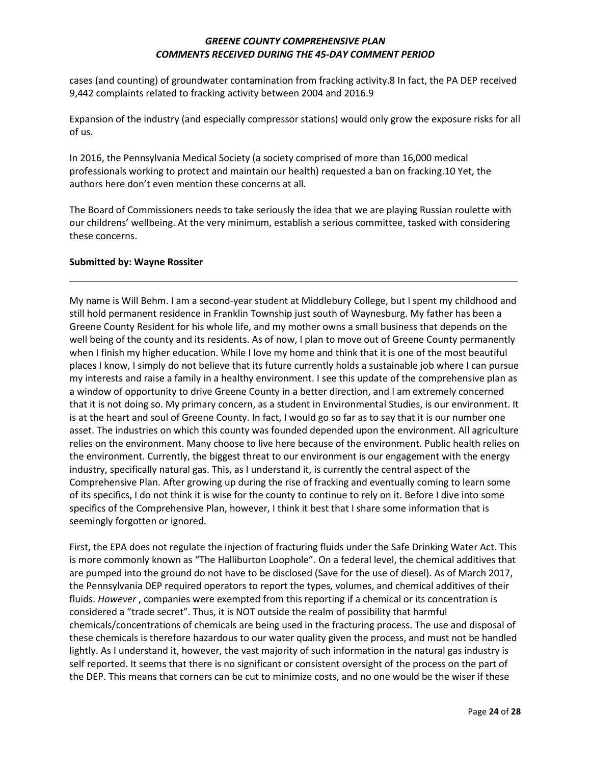cases (and counting) of groundwater contamination from fracking activity.8 In fact, the PA DEP received 9,442 complaints related to fracking activity between 2004 and 2016.9

Expansion of the industry (and especially compressor stations) would only grow the exposure risks for all of us.

In 2016, the Pennsylvania Medical Society (a society comprised of more than 16,000 medical professionals working to protect and maintain our health) requested a ban on fracking.10 Yet, the authors here don't even mention these concerns at all.

The Board of Commissioners needs to take seriously the idea that we are playing Russian roulette with our childrens' wellbeing. At the very minimum, establish a serious committee, tasked with considering these concerns.

#### **Submitted by: Wayne Rossiter**

My name is Will Behm. I am a second-year student at Middlebury College, but I spent my childhood and still hold permanent residence in Franklin Township just south of Waynesburg. My father has been a Greene County Resident for his whole life, and my mother owns a small business that depends on the well being of the county and its residents. As of now, I plan to move out of Greene County permanently when I finish my higher education. While I love my home and think that it is one of the most beautiful places I know, I simply do not believe that its future currently holds a sustainable job where I can pursue my interests and raise a family in a healthy environment. I see this update of the comprehensive plan as a window of opportunity to drive Greene County in a better direction, and I am extremely concerned that it is not doing so. My primary concern, as a student in Environmental Studies, is our environment. It is at the heart and soul of Greene County. In fact, I would go so far as to say that it is our number one asset. The industries on which this county was founded depended upon the environment. All agriculture relies on the environment. Many choose to live here because of the environment. Public health relies on the environment. Currently, the biggest threat to our environment is our engagement with the energy industry, specifically natural gas. This, as I understand it, is currently the central aspect of the Comprehensive Plan. After growing up during the rise of fracking and eventually coming to learn some of its specifics, I do not think it is wise for the county to continue to rely on it. Before I dive into some specifics of the Comprehensive Plan, however, I think it best that I share some information that is seemingly forgotten or ignored.

First, the EPA does not regulate the injection of fracturing fluids under the Safe Drinking Water Act. This is more commonly known as "The Halliburton Loophole". On a federal level, the chemical additives that are pumped into the ground do not have to be disclosed (Save for the use of diesel). As of March 2017, the Pennsylvania DEP required operators to report the types, volumes, and chemical additives of their fluids. *However*, companies were exempted from this reporting if a chemical or its concentration is considered a "trade secret". Thus, it is NOT outside the realm of possibility that harmful chemicals/concentrations of chemicals are being used in the fracturing process. The use and disposal of these chemicals is therefore hazardous to our water quality given the process, and must not be handled lightly. As I understand it, however, the vast majority of such information in the natural gas industry is self reported. It seems that there is no significant or consistent oversight of the process on the part of the DEP. This means that corners can be cut to minimize costs, and no one would be the wiser if these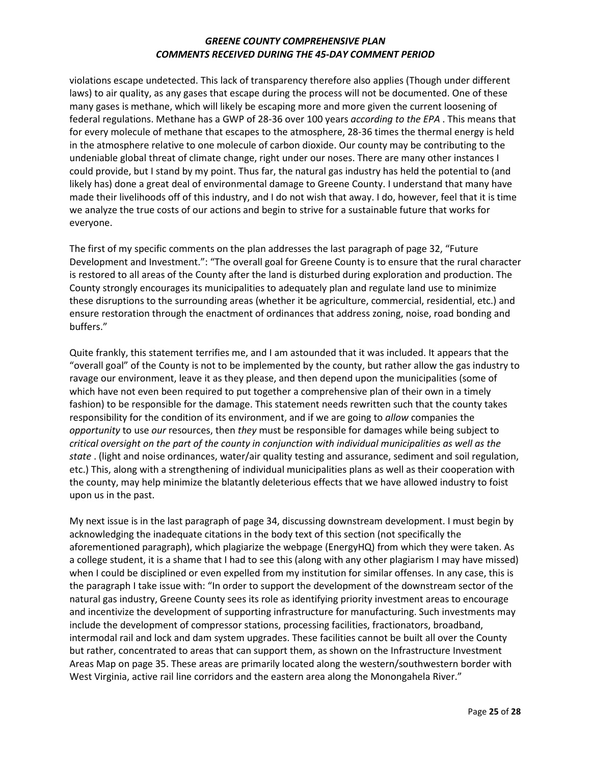violations escape undetected. This lack of transparency therefore also applies (Though under different laws) to air quality, as any gases that escape during the process will not be documented. One of these many gases is methane, which will likely be escaping more and more given the current loosening of federal regulations. Methane has a GWP of 28-36 over 100 years *according to the EPA* . This means that for every molecule of methane that escapes to the atmosphere, 28-36 times the thermal energy is held in the atmosphere relative to one molecule of carbon dioxide. Our county may be contributing to the undeniable global threat of climate change, right under our noses. There are many other instances I could provide, but I stand by my point. Thus far, the natural gas industry has held the potential to (and likely has) done a great deal of environmental damage to Greene County. I understand that many have made their livelihoods off of this industry, and I do not wish that away. I do, however, feel that it is time we analyze the true costs of our actions and begin to strive for a sustainable future that works for everyone.

The first of my specific comments on the plan addresses the last paragraph of page 32, "Future Development and Investment.": "The overall goal for Greene County is to ensure that the rural character is restored to all areas of the County after the land is disturbed during exploration and production. The County strongly encourages its municipalities to adequately plan and regulate land use to minimize these disruptions to the surrounding areas (whether it be agriculture, commercial, residential, etc.) and ensure restoration through the enactment of ordinances that address zoning, noise, road bonding and buffers."

Quite frankly, this statement terrifies me, and I am astounded that it was included. It appears that the "overall goal" of the County is not to be implemented by the county, but rather allow the gas industry to ravage our environment, leave it as they please, and then depend upon the municipalities (some of which have not even been required to put together a comprehensive plan of their own in a timely fashion) to be responsible for the damage. This statement needs rewritten such that the county takes responsibility for the condition of its environment, and if we are going to *allow* companies the *opportunity* to use *our* resources, then *they* must be responsible for damages while being subject to *critical oversight on the part of the county in conjunction with individual municipalities as well as the state* . (light and noise ordinances, water/air quality testing and assurance, sediment and soil regulation, etc.) This, along with a strengthening of individual municipalities plans as well as their cooperation with the county, may help minimize the blatantly deleterious effects that we have allowed industry to foist upon us in the past.

My next issue is in the last paragraph of page 34, discussing downstream development. I must begin by acknowledging the inadequate citations in the body text of this section (not specifically the aforementioned paragraph), which plagiarize the webpage (EnergyHQ) from which they were taken. As a college student, it is a shame that I had to see this (along with any other plagiarism I may have missed) when I could be disciplined or even expelled from my institution for similar offenses. In any case, this is the paragraph I take issue with: "In order to support the development of the downstream sector of the natural gas industry, Greene County sees its role as identifying priority investment areas to encourage and incentivize the development of supporting infrastructure for manufacturing. Such investments may include the development of compressor stations, processing facilities, fractionators, broadband, intermodal rail and lock and dam system upgrades. These facilities cannot be built all over the County but rather, concentrated to areas that can support them, as shown on the Infrastructure Investment Areas Map on page 35. These areas are primarily located along the western/southwestern border with West Virginia, active rail line corridors and the eastern area along the Monongahela River."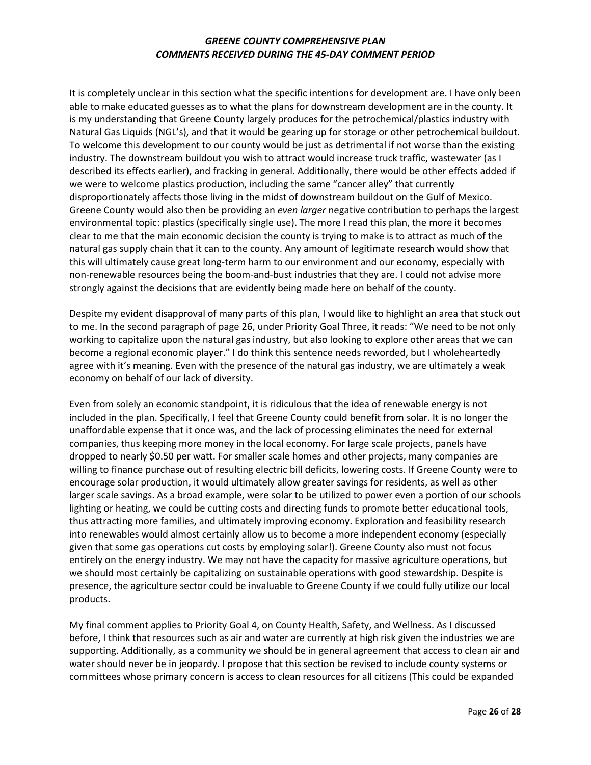It is completely unclear in this section what the specific intentions for development are. I have only been able to make educated guesses as to what the plans for downstream development are in the county. It is my understanding that Greene County largely produces for the petrochemical/plastics industry with Natural Gas Liquids (NGL's), and that it would be gearing up for storage or other petrochemical buildout. To welcome this development to our county would be just as detrimental if not worse than the existing industry. The downstream buildout you wish to attract would increase truck traffic, wastewater (as I described its effects earlier), and fracking in general. Additionally, there would be other effects added if we were to welcome plastics production, including the same "cancer alley" that currently disproportionately affects those living in the midst of downstream buildout on the Gulf of Mexico. Greene County would also then be providing an *even larger* negative contribution to perhaps the largest environmental topic: plastics (specifically single use). The more I read this plan, the more it becomes clear to me that the main economic decision the county is trying to make is to attract as much of the natural gas supply chain that it can to the county. Any amount of legitimate research would show that this will ultimately cause great long-term harm to our environment and our economy, especially with non-renewable resources being the boom-and-bust industries that they are. I could not advise more strongly against the decisions that are evidently being made here on behalf of the county.

Despite my evident disapproval of many parts of this plan, I would like to highlight an area that stuck out to me. In the second paragraph of page 26, under Priority Goal Three, it reads: "We need to be not only working to capitalize upon the natural gas industry, but also looking to explore other areas that we can become a regional economic player." I do think this sentence needs reworded, but I wholeheartedly agree with it's meaning. Even with the presence of the natural gas industry, we are ultimately a weak economy on behalf of our lack of diversity.

Even from solely an economic standpoint, it is ridiculous that the idea of renewable energy is not included in the plan. Specifically, I feel that Greene County could benefit from solar. It is no longer the unaffordable expense that it once was, and the lack of processing eliminates the need for external companies, thus keeping more money in the local economy. For large scale projects, panels have dropped to nearly \$0.50 per watt. For smaller scale homes and other projects, many companies are willing to finance purchase out of resulting electric bill deficits, lowering costs. If Greene County were to encourage solar production, it would ultimately allow greater savings for residents, as well as other larger scale savings. As a broad example, were solar to be utilized to power even a portion of our schools lighting or heating, we could be cutting costs and directing funds to promote better educational tools, thus attracting more families, and ultimately improving economy. Exploration and feasibility research into renewables would almost certainly allow us to become a more independent economy (especially given that some gas operations cut costs by employing solar!). Greene County also must not focus entirely on the energy industry. We may not have the capacity for massive agriculture operations, but we should most certainly be capitalizing on sustainable operations with good stewardship. Despite is presence, the agriculture sector could be invaluable to Greene County if we could fully utilize our local products.

My final comment applies to Priority Goal 4, on County Health, Safety, and Wellness. As I discussed before, I think that resources such as air and water are currently at high risk given the industries we are supporting. Additionally, as a community we should be in general agreement that access to clean air and water should never be in jeopardy. I propose that this section be revised to include county systems or committees whose primary concern is access to clean resources for all citizens (This could be expanded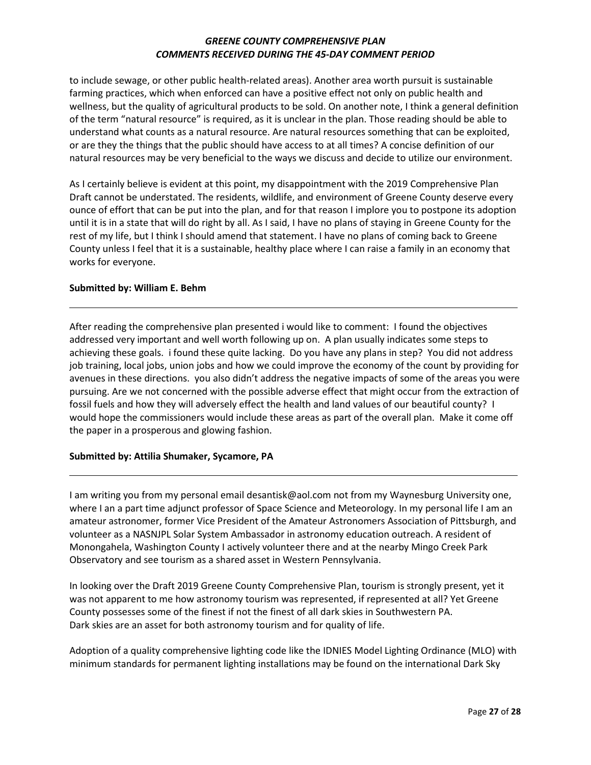to include sewage, or other public health-related areas). Another area worth pursuit is sustainable farming practices, which when enforced can have a positive effect not only on public health and wellness, but the quality of agricultural products to be sold. On another note, I think a general definition of the term "natural resource" is required, as it is unclear in the plan. Those reading should be able to understand what counts as a natural resource. Are natural resources something that can be exploited, or are they the things that the public should have access to at all times? A concise definition of our natural resources may be very beneficial to the ways we discuss and decide to utilize our environment.

As I certainly believe is evident at this point, my disappointment with the 2019 Comprehensive Plan Draft cannot be understated. The residents, wildlife, and environment of Greene County deserve every ounce of effort that can be put into the plan, and for that reason I implore you to postpone its adoption until it is in a state that will do right by all. As I said, I have no plans of staying in Greene County for the rest of my life, but I think I should amend that statement. I have no plans of coming back to Greene County unless I feel that it is a sustainable, healthy place where I can raise a family in an economy that works for everyone.

#### **Submitted by: William E. Behm**

After reading the comprehensive plan presented i would like to comment: I found the objectives addressed very important and well worth following up on. A plan usually indicates some steps to achieving these goals. i found these quite lacking. Do you have any plans in step? You did not address job training, local jobs, union jobs and how we could improve the economy of the count by providing for avenues in these directions. you also didn't address the negative impacts of some of the areas you were pursuing. Are we not concerned with the possible adverse effect that might occur from the extraction of fossil fuels and how they will adversely effect the health and land values of our beautiful county? I would hope the commissioners would include these areas as part of the overall plan. Make it come off the paper in a prosperous and glowing fashion.

### **Submitted by: Attilia Shumaker, Sycamore, PA**

I am writing you from my personal email desantisk@aol.com not from my Waynesburg University one, where I an a part time adjunct professor of Space Science and Meteorology. In my personal life I am an amateur astronomer, former Vice President of the Amateur Astronomers Association of Pittsburgh, and volunteer as a NASNJPL Solar System Ambassador in astronomy education outreach. A resident of Monongahela, Washington County I actively volunteer there and at the nearby Mingo Creek Park Observatory and see tourism as a shared asset in Western Pennsylvania.

In looking over the Draft 2019 Greene County Comprehensive Plan, tourism is strongly present, yet it was not apparent to me how astronomy tourism was represented, if represented at all? Yet Greene County possesses some of the finest if not the finest of all dark skies in Southwestern PA. Dark skies are an asset for both astronomy tourism and for quality of life.

Adoption of a quality comprehensive lighting code like the IDNIES Model Lighting Ordinance (MLO) with minimum standards for permanent lighting installations may be found on the international Dark Sky